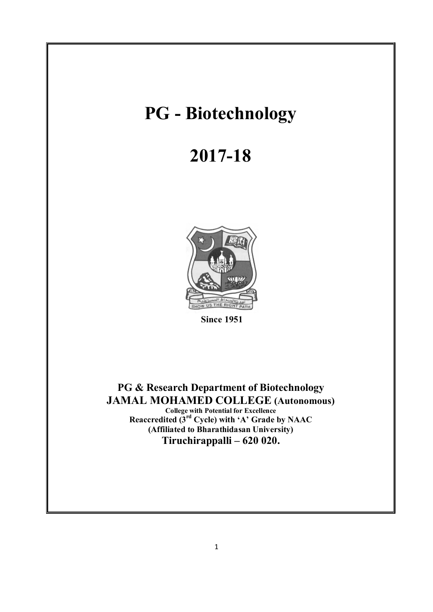# **PG - Biotechnology**

# **2017-18**



 **Since 1951** 

**PG & Research Department of Biotechnology JAMAL MOHAMED COLLEGE (Autonomous) College with Potential for Excellence Reaccredited (3rd Cycle) with 'A' Grade by NAAC (Affiliated to Bharathidasan University) Tiruchirappalli – 620 020.**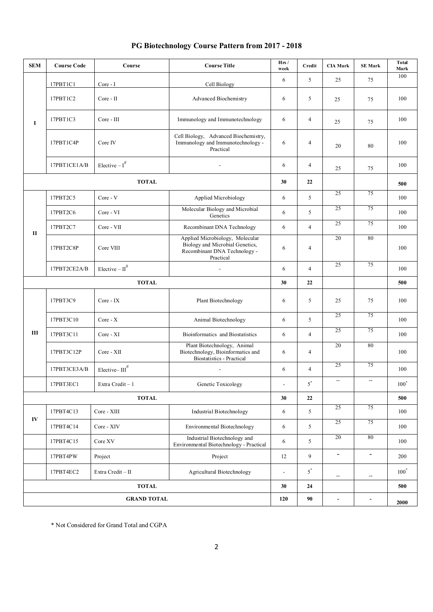| <b>SEM</b>         | <b>Course Code</b> | Course                        | <b>Course Title</b>                                                                                             | Hrs/<br>week             | Credit         | <b>CIA Mark</b>          | <b>SE Mark</b>           | <b>Total</b><br>Mark |
|--------------------|--------------------|-------------------------------|-----------------------------------------------------------------------------------------------------------------|--------------------------|----------------|--------------------------|--------------------------|----------------------|
| $\bf{I}$           | 17PBT1C1           | Core - I                      | Cell Biology                                                                                                    | 6                        | 5              | 25                       | 75                       | 100                  |
|                    | 17PBT1C2           | Core - II                     | Advanced Biochemistry                                                                                           | 6                        | 5              | 25                       | 75                       | 100                  |
|                    | 17PBT1C3           | Core - III                    | Immunology and Immunotechnology                                                                                 | 6                        | 4              | 25                       | 75                       | 100                  |
|                    | 17PBT1C4P          | Core IV                       | Cell Biology, Advanced Biochemistry,<br>Immunology and Immunotechnology -<br>Practical                          | 6                        | 4              | 20                       | 80                       | 100                  |
|                    | 17PBT1CE1A/B       | Elective $-I^{\#}$            |                                                                                                                 | 6                        | $\overline{4}$ | 25                       | 75                       | 100                  |
| <b>TOTAL</b>       |                    |                               |                                                                                                                 |                          | 22             |                          |                          | 500                  |
| $\mathbf{I}$       | 17PBT2C5           | Core - V                      | Applied Microbiology                                                                                            | 6                        | 5              | 25                       | 75                       | 100                  |
|                    | 17PBT2C6           | Core - VI                     | Molecular Biology and Microbial<br>Genetics                                                                     | 6                        | 5              | 25                       | 75                       | 100                  |
|                    | 17PBT2C7           | Core - VII                    | Recombinant DNA Technology                                                                                      | 6                        | $\overline{4}$ | 25                       | 75                       | 100                  |
|                    | 17PBT2C8P          | Core VIII                     | Applied Microbiology, Molecular<br>Biology and Microbial Genetics,<br>Recombinant DNA Technology -<br>Practical | 6                        | $\overline{4}$ | 20                       | 80                       | 100                  |
|                    | 17PBT2CE2A/B       | Elective $- \text{II}^{\#}$   |                                                                                                                 | 6                        | 4              | 25                       | 75                       | 100                  |
| <b>TOTAL</b>       |                    |                               |                                                                                                                 |                          | 22             |                          |                          | 500                  |
| Ш                  | 17PBT3C9           | Core - IX                     | Plant Biotechnology                                                                                             | 6                        | 5              | 25                       | 75                       | 100                  |
|                    | 17PBT3C10          | $Core - X$                    | Animal Biotechnology                                                                                            | 6                        | 5              | 25                       | 75                       | 100                  |
|                    | 17PBT3C11          | Core - XI                     | Bioinformatics and Biostatistics                                                                                | 6                        | 4              | 25                       | 75                       | 100                  |
|                    | 17PBT3C12P         | Core - XII                    | Plant Biotechnology, Animal<br>Biotechnology, Bioinformatics and<br><b>Biostatistics - Practical</b>            | 6                        | 4              | 20                       | 80                       | 100                  |
|                    | 17PBT3CE3A/B       | Elective- $\mathrm{III}^{\#}$ |                                                                                                                 | 6                        | 4              | 25                       | 75                       | 100                  |
|                    | 17PBT3EC1          | Extra Credit - 1              | Genetic Toxicology                                                                                              |                          | $5^\ast$       | $\overline{\phantom{a}}$ | $\overline{\phantom{a}}$ | $100^*$              |
| <b>TOTAL</b>       |                    |                               |                                                                                                                 |                          | 22             |                          |                          | 500                  |
| IV                 | 17PBT4C13          | Core - XIII                   | Industrial Biotechnology                                                                                        | 6                        | 5              | $\overline{25}$          | 75                       | 100                  |
|                    | 17PBT4C14          | Core - XIV                    | Environmental Biotechnology                                                                                     | 6                        | 5              | 25                       | 75                       | 100                  |
|                    | 17PBT4C15          | Core XV                       | Industrial Biotechnology and<br>Environmental Biotechnology - Practical                                         | 6                        | 5              | 20                       | 80                       | 100                  |
|                    | 17PBT4PW           | Project                       | Project                                                                                                         | 12                       | 9              | $\overline{\phantom{a}}$ | $\overline{\phantom{a}}$ | 200                  |
|                    | 17PBT4EC2          | Extra Credit $-\,$ II         | Agricultural Biotechnology                                                                                      | $\overline{\phantom{a}}$ | $5^*$          | --                       | --                       | $100^*$              |
| <b>TOTAL</b>       |                    |                               |                                                                                                                 |                          | 24             |                          |                          | 500                  |
| <b>GRAND TOTAL</b> |                    |                               |                                                                                                                 |                          | 90             | $\overline{\phantom{a}}$ | $\overline{\phantom{m}}$ | 2000                 |

### **PG Biotechnology Course Pattern from 2017 - 2018**

\* Not Considered for Grand Total and CGPA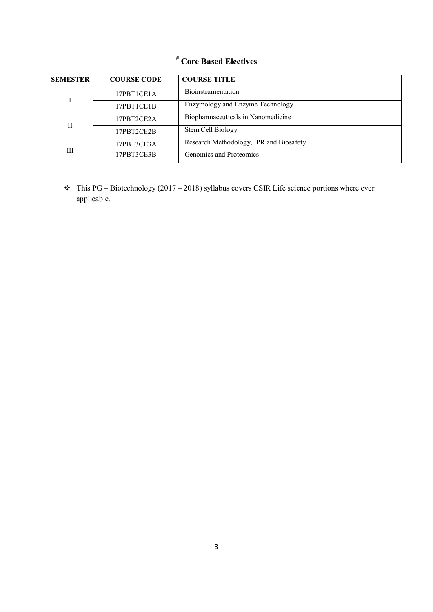### **# Core Based Electives**

| <b>SEMESTER</b> | <b>COURSE CODE</b> | <b>COURSE TITLE</b>                     |  |
|-----------------|--------------------|-----------------------------------------|--|
|                 | 17PBT1CE1A         | <b>Bioinstrumentation</b>               |  |
|                 | 17PBT1CE1B         | Enzymology and Enzyme Technology        |  |
| $\mathbf{I}$    | 17PBT2CE2A         | Biopharmaceuticals in Nanomedicine      |  |
|                 | 17PBT2CE2B         | Stem Cell Biology                       |  |
| Ш               | 17PBT3CE3A         | Research Methodology, IPR and Biosafety |  |
|                 | 17PBT3CE3B         | Genomics and Proteomics                 |  |

 $\bullet$  This PG – Biotechnology (2017 – 2018) syllabus covers CSIR Life science portions where ever applicable.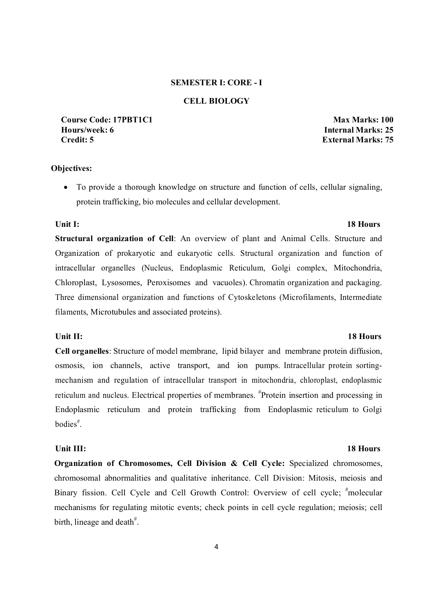#### **SEMESTER I: CORE - I**

### **CELL BIOLOGY**

**Course Code: 17PBT1C1 Max Marks: 100 Hours/week: 6 Internal Marks: 25 Credit: 5 External Marks: 75**

#### **Objectives:**

 To provide a thorough knowledge on structure and function of cells, cellular signaling, protein trafficking, bio molecules and cellular development.

#### Unit I: 18 Hours **18 Hours**

**Structural organization of Cell**: An overview of plant and Animal Cells. Structure and Organization of prokaryotic and eukaryotic cells. Structural organization and function of intracellular organelles (Nucleus, Endoplasmic Reticulum, Golgi complex, Mitochondria, Chloroplast, Lysosomes, Peroxisomes and vacuoles). Chromatin organization and packaging. Three dimensional organization and functions of Cytoskeletons (Microfilaments, Intermediate filaments, Microtubules and associated proteins).

**Cell organelles**: Structure of model membrane, lipid bilayer and membrane protein diffusion, osmosis, ion channels, active transport, and ion pumps. Intracellular protein sortingmechanism and regulation of intracellular transport in mitochondria, chloroplast, endoplasmic reticulum and nucleus. Electrical properties of membranes. <sup>#</sup>Protein insertion and processing in Endoplasmic reticulum and protein trafficking from Endoplasmic reticulum to Golgi bodies# .

#### Unit III: 18 Hours

**Organization of Chromosomes, Cell Division & Cell Cycle:** Specialized chromosomes, chromosomal abnormalities and qualitative inheritance. Cell Division: Mitosis, meiosis and Binary fission. Cell Cycle and Cell Growth Control: Overview of cell cycle; #molecular mechanisms for regulating mitotic events; check points in cell cycle regulation; meiosis; cell birth, lineage and death $#$ .

#### **Unit II:** 18 Hours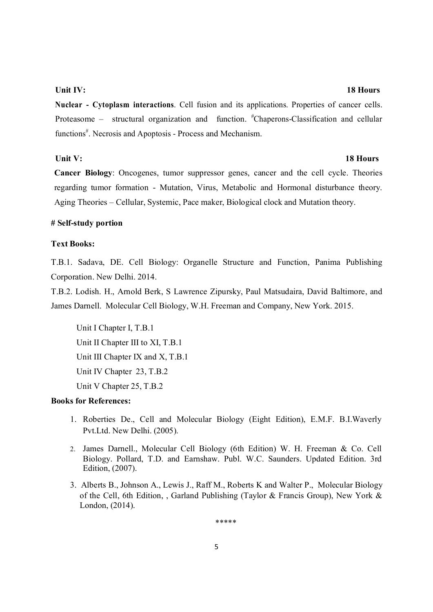#### **Unit IV:** 18 Hours

**Nuclear - Cytoplasm interactions**. Cell fusion and its applications. Properties of cancer cells. Proteasome – structural organization and function. <sup>#</sup>Chaperons-Classification and cellular functions<sup>#</sup>. Necrosis and Apoptosis - Process and Mechanism.

### **Unit V:** 18 Hours

**Cancer Biology**: Oncogenes, tumor suppressor genes, cancer and the cell cycle. Theories regarding tumor formation - Mutation, Virus, Metabolic and Hormonal disturbance theory. Aging Theories – Cellular, Systemic, Pace maker, Biological clock and Mutation theory.

#### **# Self-study portion**

### **Text Books:**

T.B.1. Sadava, DE. Cell Biology: Organelle Structure and Function, Panima Publishing Corporation. New Delhi. 2014.

T.B.2. Lodish. H., Arnold Berk, S Lawrence Zipursky, Paul Matsudaira, David Baltimore, and James Darnell. Molecular Cell Biology, W.H. Freeman and Company, New York. 2015.

Unit I Chapter I, T.B.1 Unit II Chapter III to XI, T.B.1 Unit III Chapter IX and X, T.B.1 Unit IV Chapter 23, T.B.2 Unit V Chapter 25, T.B.2

### **Books for References:**

- 1. Roberties De., Cell and Molecular Biology (Eight Edition), E.M.F. B.I.Waverly Pvt.Ltd. New Delhi. (2005).
- 2. James Darnell., Molecular Cell Biology (6th Edition) W. H. Freeman & Co. Cell Biology. Pollard, T.D. and Earnshaw. Publ. W.C. Saunders. Updated Edition. 3rd Edition, (2007).
- 3. Alberts B., Johnson A., Lewis J., Raff M., Roberts K and Walter P., Molecular Biology of the Cell, 6th Edition, , Garland Publishing (Taylor & Francis Group), New York & London, (2014).

\*\*\*\*\*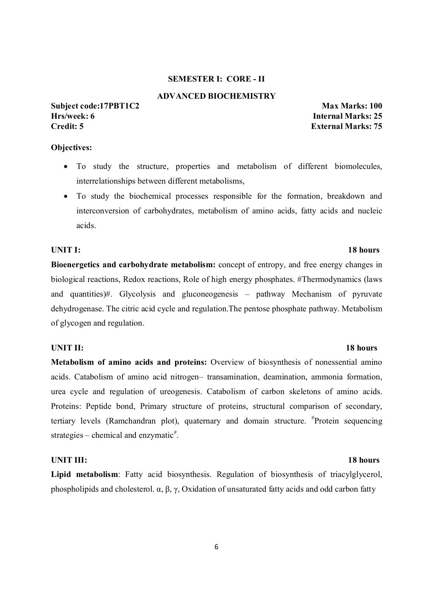### **SEMESTER I: CORE - II**

#### **ADVANCED BIOCHEMISTRY**

#### **Subject code:17PBT1C2 Max Marks: 100 Hrs/week: 6 Internal Marks: 25 Credit: 5 External Marks: 75**

### **Objectives:**

- To study the structure, properties and metabolism of different biomolecules, interrelationships between different metabolisms,
- To study the biochemical processes responsible for the formation, breakdown and interconversion of carbohydrates, metabolism of amino acids, fatty acids and nucleic acids.

#### **UNIT I: 18 hours**

**Bioenergetics and carbohydrate metabolism:** concept of entropy, and free energy changes in biological reactions, Redox reactions, Role of high energy phosphates. #Thermodynamics (laws and quantities)#. Glycolysis and gluconeogenesis – pathway Mechanism of pyruvate dehydrogenase. The citric acid cycle and regulation.The pentose phosphate pathway. Metabolism of glycogen and regulation.

#### **UNIT II: 18 hours**

**Metabolism of amino acids and proteins:** Overview of biosynthesis of nonessential amino acids. Catabolism of amino acid nitrogen– transamination, deamination, ammonia formation, urea cycle and regulation of ureogenesis. Catabolism of carbon skeletons of amino acids. Proteins: Peptide bond, Primary structure of proteins, structural comparison of secondary, tertiary levels (Ramchandran plot), quaternary and domain structure. # Protein sequencing strategies – chemical and enzymatic<sup>#</sup>.

#### **UNIT III: 18 hours**

**Lipid metabolism**: Fatty acid biosynthesis. Regulation of biosynthesis of triacylglycerol, phospholipids and cholesterol. α, β, γ, Oxidation of unsaturated fatty acids and odd carbon fatty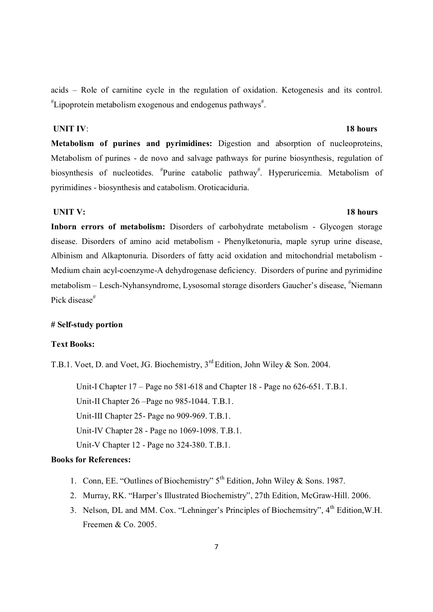acids – Role of carnitine cycle in the regulation of oxidation. Ketogenesis and its control. # Lipoprotein metabolism exogenous and endogenus pathways# .

#### *UNIT IV:* **18 hours**

**Metabolism of purines and pyrimidines:** Digestion and absorption of nucleoproteins, Metabolism of purines - de novo and salvage pathways for purine biosynthesis, regulation of biosynthesis of nucleotides. <sup>#</sup>Purine catabolic pathway<sup>#</sup>. Hyperuricemia. Metabolism of pyrimidines - biosynthesis and catabolism. Oroticaciduria.

#### **UNIT V:** 18 hours

**Inborn errors of metabolism:** Disorders of carbohydrate metabolism - Glycogen storage disease. Disorders of amino acid metabolism - Phenylketonuria, maple syrup urine disease, Albinism and Alkaptonuria. Disorders of fatty acid oxidation and mitochondrial metabolism - Medium chain acyl-coenzyme-A dehydrogenase deficiency. Disorders of purine and pyrimidine metabolism – Lesch-Nyhansyndrome, Lysosomal storage disorders Gaucher's disease, # Niemann Pick disease<sup>#</sup>

#### **# Self-study portion**

### **Text Books:**

T.B.1. Voet, D. and Voet, JG. Biochemistry, 3rd Edition, John Wiley & Son. 2004.

 Unit-I Chapter 17 – Page no 581-618 and Chapter 18 - Page no 626-651. T.B.1. Unit-II Chapter 26 –Page no 985-1044. T.B.1. Unit-III Chapter 25- Page no 909-969. T.B.1. Unit-IV Chapter 28 - Page no 1069-1098. T.B.1. Unit-V Chapter 12 - Page no 324-380. T.B.1.

- 1. Conn, EE. "Outlines of Biochemistry"  $5<sup>th</sup>$  Edition, John Wiley & Sons. 1987.
- 2. Murray, RK. "Harper's Illustrated Biochemistry", 27th Edition, McGraw-Hill. 2006.
- 3. Nelson, DL and MM. Cox. "Lehninger's Principles of Biochemsitry",  $4<sup>th</sup>$  Edition, W.H. Freemen & Co. 2005.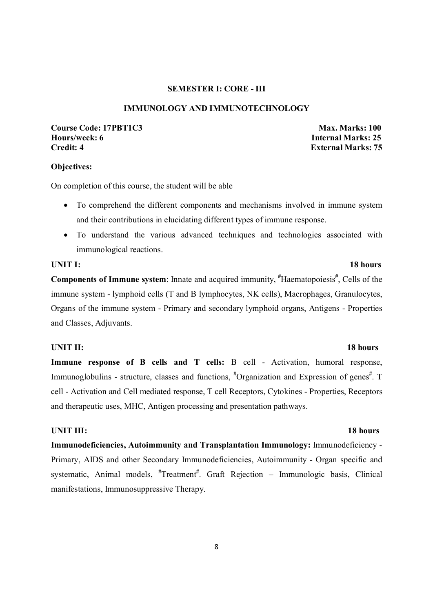#### **SEMESTER I: CORE - III**

### **IMMUNOLOGY AND IMMUNOTECHNOLOGY**

### **Course Code: 17PBT1C3** Max. Marks: 100 **Hours/week: 6 Internal Marks: 25 Credit: 4 External Marks: 75**

#### **Objectives:**

On completion of this course, the student will be able

- To comprehend the different components and mechanisms involved in immune system and their contributions in elucidating different types of immune response.
- To understand the various advanced techniques and technologies associated with immunological reactions.

Components of Immune system: Innate and acquired immunity, <sup>#</sup>Haematopoiesis<sup>#</sup>, Cells of the immune system - lymphoid cells (T and B lymphocytes, NK cells), Macrophages, Granulocytes, Organs of the immune system - Primary and secondary lymphoid organs, Antigens - Properties and Classes, Adjuvants.

#### **UNIT II:** 18 hours

**Immune response of B cells and T cells:** B cell - Activation, humoral response, Immunoglobulins - structure, classes and functions, <sup>#</sup>Organization and Expression of genes<sup>#</sup>. T cell - Activation and Cell mediated response, T cell Receptors, Cytokines - Properties, Receptors and therapeutic uses, MHC, Antigen processing and presentation pathways.

#### **UNIT III:** 18 hours

**Immunodeficiencies, Autoimmunity and Transplantation Immunology:** Immunodeficiency - Primary, AIDS and other Secondary Immunodeficiencies, Autoimmunity - Organ specific and systematic, Animal models, <sup>#</sup>Treatment<sup>#</sup>. Graft Rejection - Immunologic basis, Clinical manifestations, Immunosuppressive Therapy.

#### **UNIT I:** 18 hours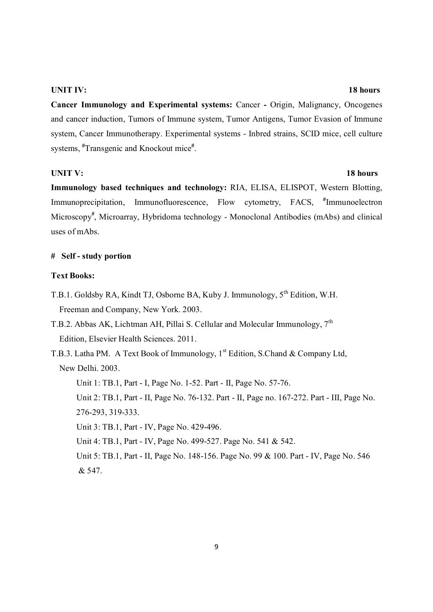#### **UNIT IV:** 18 hours

**Cancer Immunology and Experimental systems:** Cancer **-** Origin, Malignancy, Oncogenes and cancer induction, Tumors of Immune system, Tumor Antigens, Tumor Evasion of Immune system, Cancer Immunotherapy. Experimental systems - Inbred strains, SCID mice, cell culture systems, **#** Transgenic and Knockout mice**#** .

#### **UNIT V:** 18 hours

**Immunology based techniques and technology:** RIA, ELISA, ELISPOT, Western Blotting, Immunoprecipitation, Immunofluorescence, Flow cytometry, FACS, **#** Immunoelectron Microscopy**#** , Microarray, Hybridoma technology - Monoclonal Antibodies (mAbs) and clinical uses of mAbs.

#### **# Self - study portion**

### **Text Books:**

- T.B.1. Goldsby RA, Kindt TJ, Osborne BA, Kuby J. Immunology,  $5^{th}$  Edition, W.H. Freeman and Company, New York. 2003.
- T.B.2. Abbas AK, Lichtman AH, Pillai S. Cellular and Molecular Immunology,  $7<sup>th</sup>$ Edition, Elsevier Health Sciences. 2011.
- T.B.3. Latha PM. A Text Book of Immunology, 1<sup>st</sup> Edition, S.Chand & Company Ltd, New Delhi. 2003.

Unit 1: TB.1, Part - I, Page No. 1-52. Part - II, Page No. 57-76.

 Unit 2: TB.1, Part - II, Page No. 76-132. Part - II, Page no. 167-272. Part - III, Page No. 276-293, 319-333.

Unit 3: TB.1, Part - IV, Page No. 429-496.

Unit 4: TB.1, Part - IV, Page No. 499-527. Page No. 541 & 542.

 Unit 5: TB.1, Part - II, Page No. 148-156. Page No. 99 & 100. Part - IV, Page No. 546 & 547.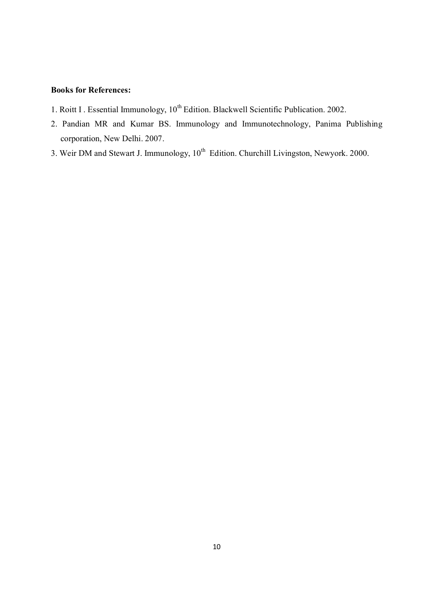- 1. Roitt I . Essential Immunology, 10<sup>th</sup> Edition. Blackwell Scientific Publication. 2002.
- 2. Pandian MR and Kumar BS. Immunology and Immunotechnology, Panima Publishing corporation, New Delhi. 2007.
- 3. Weir DM and Stewart J. Immunology,  $10^{th}$  Edition. Churchill Livingston, Newyork. 2000.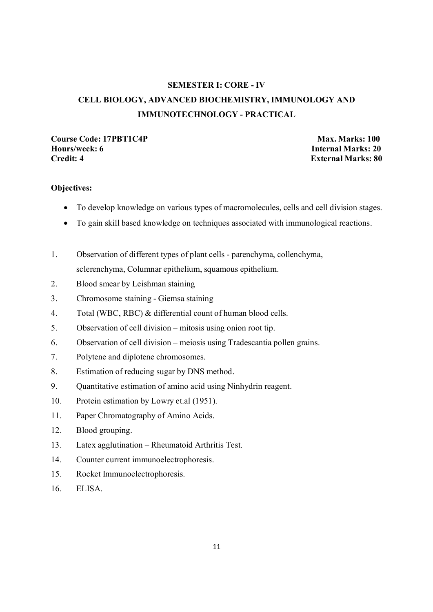## **SEMESTER I: CORE - IV CELL BIOLOGY, ADVANCED BIOCHEMISTRY, IMMUNOLOGY AND IMMUNOTECHNOLOGY - PRACTICAL**

## Course Code: 17PBT1C4P Max. Marks: 100<br>
Hours/week: 6 **Max. Marks: 20 Hours/week: 6**<br>Credit: 4 **Internal Marks: 20**

**External Marks: 80** 

### **Objectives:**

- To develop knowledge on various types of macromolecules, cells and cell division stages.
- To gain skill based knowledge on techniques associated with immunological reactions.
- 1. Observation of different types of plant cells parenchyma, collenchyma, sclerenchyma, Columnar epithelium, squamous epithelium.
- 2. Blood smear by Leishman staining
- 3. Chromosome staining Giemsa staining
- 4. Total (WBC, RBC) & differential count of human blood cells.
- 5. Observation of cell division mitosis using onion root tip.
- 6. Observation of cell division meiosis using Tradescantia pollen grains.
- 7. Polytene and diplotene chromosomes.
- 8. Estimation of reducing sugar by DNS method.
- 9. Quantitative estimation of amino acid using Ninhydrin reagent.
- 10. Protein estimation by Lowry et.al (1951).
- 11. Paper Chromatography of Amino Acids.
- 12. Blood grouping.
- 13. Latex agglutination Rheumatoid Arthritis Test.
- 14. Counter current immunoelectrophoresis.
- 15. Rocket Immunoelectrophoresis.
- 16. ELISA.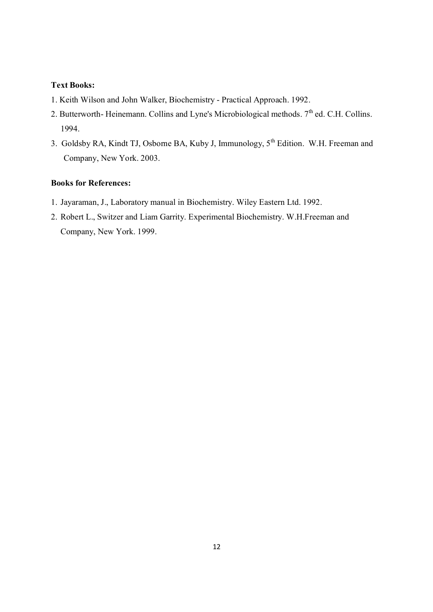### **Text Books:**

- 1. Keith Wilson and John Walker, Biochemistry Practical Approach. 1992.
- 2. Butterworth- Heinemann. Collins and Lyne's Microbiological methods.  $7<sup>th</sup>$  ed. C.H. Collins. 1994.
- 3. Goldsby RA, Kindt TJ, Osborne BA, Kuby J, Immunology, 5<sup>th</sup> Edition. W.H. Freeman and Company, New York. 2003.

- 1. Jayaraman, J., Laboratory manual in Biochemistry. Wiley Eastern Ltd. 1992.
- 2. Robert L., Switzer and Liam Garrity. Experimental Biochemistry. W.H.Freeman and Company, New York. 1999.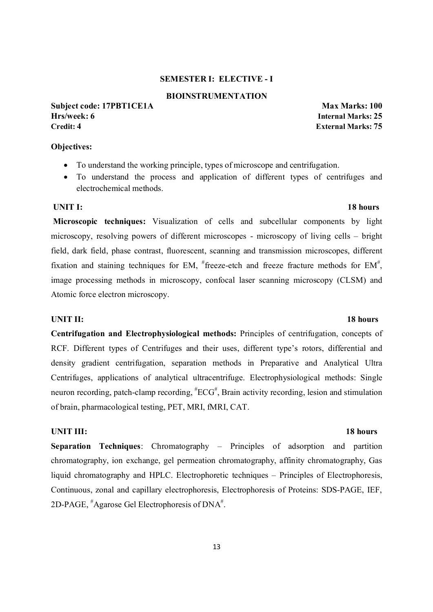#### **SEMESTER I: ELECTIVE - I**

#### **BIOINSTRUMENTATION**

**Subject code: 17PBT1CE1A** Max Marks: 100 **Hrs/week: 6 Internal Marks: 25 Credit: 4 External Marks: 75**

**Objectives:**

- To understand the working principle, types of microscope and centrifugation.
- To understand the process and application of different types of centrifuges and electrochemical methods.

#### *UNIT I:* 18 hours

 **Microscopic techniques:** Visualization of cells and subcellular components by light microscopy, resolving powers of different microscopes - microscopy of living cells – bright field, dark field, phase contrast, fluorescent, scanning and transmission microscopes, different fixation and staining techniques for EM,  $*$  freeze-etch and freeze fracture methods for EM $*$ , image processing methods in microscopy, confocal laser scanning microscopy (CLSM) and Atomic force electron microscopy.

**Centrifugation and Electrophysiological methods:** Principles of centrifugation, concepts of RCF. Different types of Centrifuges and their uses, different type's rotors, differential and density gradient centrifugation, separation methods in Preparative and Analytical Ultra Centrifuges, applications of analytical ultracentrifuge. Electrophysiological methods: Single neuron recording, patch-clamp recording,  ${}^{\#}ECG^{\#}$ , Brain activity recording, lesion and stimulation of brain, pharmacological testing, PET, MRI, fMRI, CAT.

#### **UNIT III:** 18 hours

**Separation Techniques**: Chromatography – Principles of adsorption and partition chromatography, ion exchange, gel permeation chromatography, affinity chromatography, Gas liquid chromatography and HPLC. Electrophoretic techniques – Principles of Electrophoresis, Continuous, zonal and capillary electrophoresis, Electrophoresis of Proteins: SDS-PAGE, IEF, 2D-PAGE, <sup>#</sup>Agarose Gel Electrophoresis of DNA<sup>#</sup>.

#### **UNIT II:** 18 hours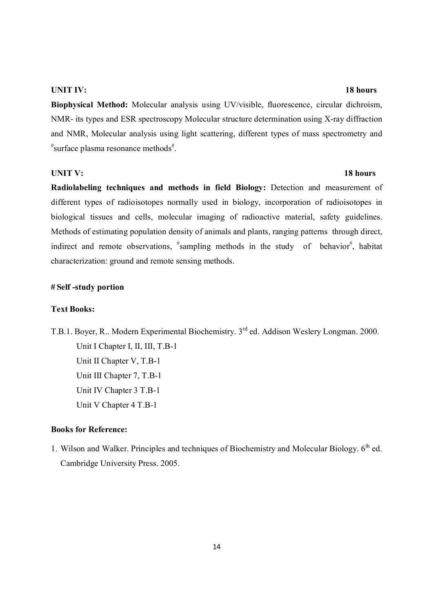#### **UNIT IV:** 18 hours

**Biophysical Method:** Molecular analysis using UV/visible, fluorescence, circular dichroism, NMR- its types and ESR spectroscopy Molecular structure determination using X-ray diffraction and NMR, Molecular analysis using light scattering, different types of mass spectrometry and  $^{\text{\#}}$ surface plasma resonance methods $^{\text{\#}}$ .

#### **UNIT V:** 18 hours

**Radiolabeling techniques and methods in field Biology:** Detection and measurement of different types of radioisotopes normally used in biology, incorporation of radioisotopes in biological tissues and cells, molecular imaging of radioactive material, safety guidelines. Methods of estimating population density of animals and plants, ranging patterns through direct, indirect and remote observations,  $*$ sampling methods in the study of behavior $*$ , habitat characterization: ground and remote sensing methods.

#### **# Self -study portion**

### **Text Books:**

T.B.1. Boyer, R.. Modern Experimental Biochemistry. 3<sup>rd</sup> ed. Addison Weslery Longman. 2000. Unit I Chapter I, II, III, T.B-1 Unit II Chapter V, T.B-1 Unit III Chapter 7, T.B-1 Unit IV Chapter 3 T.B-1 Unit V Chapter 4 T.B-1

### **Books for Reference:**

1. Wilson and Walker. Principles and techniques of Biochemistry and Molecular Biology.  $6<sup>th</sup>$  ed. Cambridge University Press. 2005.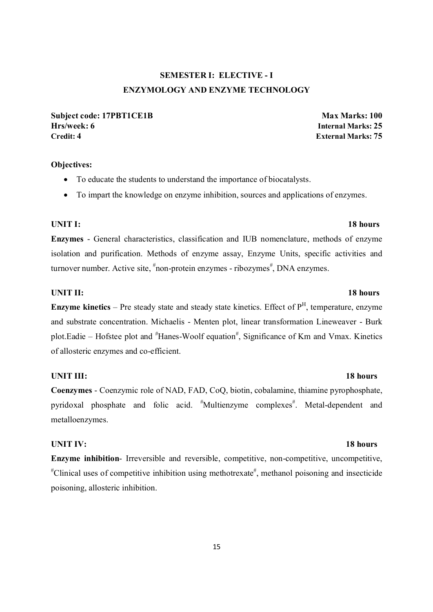## **SEMESTER I: ELECTIVE - I ENZYMOLOGY AND ENZYME TECHNOLOGY**

**Subject code: 17PBT1CE1B** Max Marks: 100 **Hrs/week: 6 Internal Marks: 25 Credit: 4 External Marks: 75**

### **Objectives:**

- To educate the students to understand the importance of biocatalysts.
- To impart the knowledge on enzyme inhibition, sources and applications of enzymes.

#### **UNIT I:** 18 hours

**Enzymes** - General characteristics, classification and IUB nomenclature, methods of enzyme isolation and purification. Methods of enzyme assay, Enzyme Units, specific activities and turnover number. Active site,  $*$ non-protein enzymes - ribozymes $*$ , DNA enzymes.

#### **UNIT II:** 18 hours

**Enzyme kinetics** – Pre steady state and steady state kinetics. Effect of  $P<sup>H</sup>$ , temperature, enzyme and substrate concentration. Michaelis - Menten plot, linear transformation Lineweaver - Burk plot.Eadie – Hofstee plot and "Hanes-Woolf equation", Significance of Km and Vmax. Kinetics of allosteric enzymes and co-efficient.

### **UNIT III:** 18 hours

**Coenzymes** - Coenzymic role of NAD, FAD, CoQ, biotin, cobalamine, thiamine pyrophosphate, pyridoxal phosphate and folic acid. <sup>#</sup>Multienzyme complexes<sup>#</sup>. Metal-dependent and metalloenzymes.

### **UNIT IV:** 18 hours

**Enzyme inhibition**- Irreversible and reversible, competitive, non-competitive, uncompetitive, # Clinical uses of competitive inhibition using methotrexate# , methanol poisoning and insecticide poisoning, allosteric inhibition.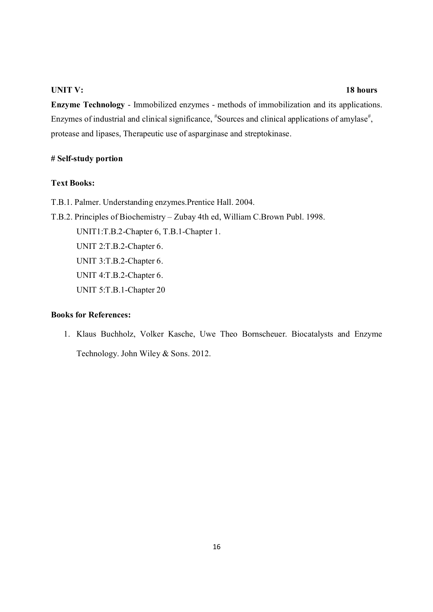#### **UNIT V:** 18 hours

**Enzyme Technology** - Immobilized enzymes - methods of immobilization and its applications. Enzymes of industrial and clinical significance,  $*$ Sources and clinical applications of amylase $*$ , protease and lipases, Therapeutic use of asparginase and streptokinase.

### **# Self-study portion**

#### **Text Books:**

- T.B.1. Palmer. Understanding enzymes.Prentice Hall. 2004.
- T.B.2. Principles of Biochemistry Zubay 4th ed, William C.Brown Publ. 1998. UNIT1:T.B.2-Chapter 6, T.B.1-Chapter 1. UNIT 2:T.B.2-Chapter 6. UNIT 3:T.B.2-Chapter 6. UNIT 4:T.B.2-Chapter 6. UNIT 5:T.B.1-Chapter 20

### **Books for References:**

1. Klaus Buchholz, Volker Kasche, Uwe Theo Bornscheuer. Biocatalysts and Enzyme Technology. John Wiley & Sons. 2012.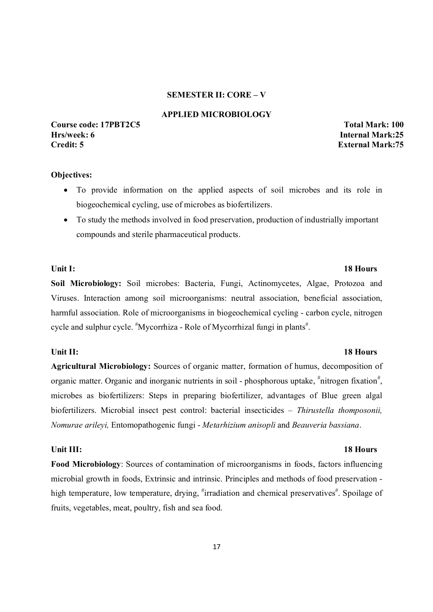#### **SEMESTER II: CORE – V**

#### **APPLIED MICROBIOLOGY**

### **Course code: 17PBT2C5 Total Mark: 100 Hrs/week: 6 Internal Mark:25 Credit: 5 External Mark:75**

#### **Objectives:**

- To provide information on the applied aspects of soil microbes and its role in biogeochemical cycling, use of microbes as biofertilizers.
- To study the methods involved in food preservation, production of industrially important compounds and sterile pharmaceutical products.

## **Soil Microbiology:** Soil microbes: Bacteria, Fungi, Actinomycetes, Algae, Protozoa and Viruses. Interaction among soil microorganisms: neutral association, beneficial association, harmful association. Role of microorganisms in biogeochemical cycling - carbon cycle, nitrogen cycle and sulphur cycle. "Mycorrhiza - Role of Mycorrhizal fungi in plants".

#### Unit II: 18 Hours **18 Hours**

**Agricultural Microbiology:** Sources of organic matter, formation of humus, decomposition of organic matter. Organic and inorganic nutrients in soil - phosphorous uptake, "nitrogen fixation", microbes as biofertilizers: Steps in preparing biofertilizer, advantages of Blue green algal biofertilizers. Microbial insect pest control: bacterial insecticides – *Thirustella thomposonii, Nomurae arileyi,* Entomopathogenic fungi - *Metarhizium anisopli* and *Beauveria bassiana*.

#### **Unit III:** 18 Hours

**Food Microbiology**: Sources of contamination of microorganisms in foods, factors influencing microbial growth in foods, Extrinsic and intrinsic. Principles and methods of food preservation high temperature, low temperature, drying, #irradiation and chemical preservatives#. Spoilage of fruits, vegetables, meat, poultry, fish and sea food.

### Unit I: 18 Hours **18 Hours**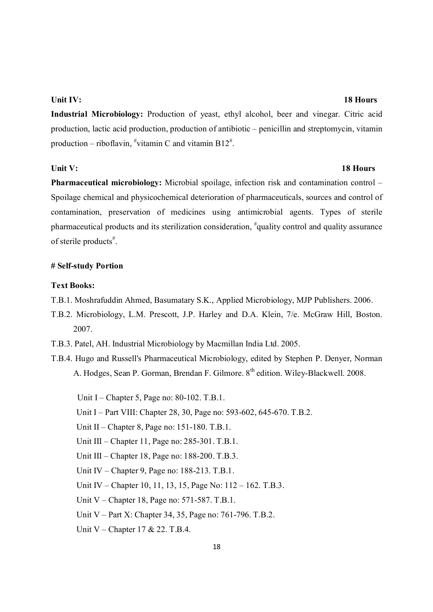#### **Unit IV:** 18 Hours

**Industrial Microbiology:** Production of yeast, ethyl alcohol, beer and vinegar. Citric acid production, lactic acid production, production of antibiotic – penicillin and streptomycin, vitamin production – riboflavin,  $\sqrt[t]{v}$ vitamin C and vitamin B12<sup>#</sup>.

#### Unit V: 18 Hours

**Pharmaceutical microbiology:** Microbial spoilage, infection risk and contamination control – Spoilage chemical and physicochemical deterioration of pharmaceuticals, sources and control of contamination, preservation of medicines using antimicrobial agents. Types of sterile pharmaceutical products and its sterilization consideration, <sup>#</sup>quality control and quality assurance of sterile products<sup>#</sup>.

### **# Self-study Portion**

#### **Text Books:**

- T.B.1. Moshrafuddin Ahmed, Basumatary S.K., Applied Microbiology, MJP Publishers. 2006.
- T.B.2. Microbiology, L.M. Prescott, J.P. Harley and D.A. Klein, 7/e. McGraw Hill, Boston. 2007.
- T.B.3. Patel, AH. Industrial Microbiology by Macmillan India Ltd. 2005.
- T.B.4. Hugo and Russell's Pharmaceutical Microbiology, edited by Stephen P. Denyer, Norman A. Hodges, Sean P. Gorman, Brendan F. Gilmore. 8<sup>th</sup> edition. Wiley-Blackwell. 2008.
	- Unit I Chapter 5, Page no: 80-102. T.B.1.
	- Unit I Part VIII: Chapter 28, 30, Page no: 593-602, 645-670. T.B.2.
	- Unit II Chapter 8, Page no: 151-180. T.B.1.
	- Unit III Chapter 11, Page no: 285-301. T.B.1.
	- Unit III Chapter 18, Page no: 188-200. T.B.3.
	- Unit IV Chapter 9, Page no: 188-213. T.B.1.
	- Unit IV Chapter 10, 11, 13, 15, Page No: 112 162. T.B.3.
	- Unit V Chapter 18, Page no: 571-587. T.B.1.
	- Unit V Part X: Chapter 34, 35, Page no: 761-796. T.B.2.
	- Unit V Chapter 17 & 22. T.B.4.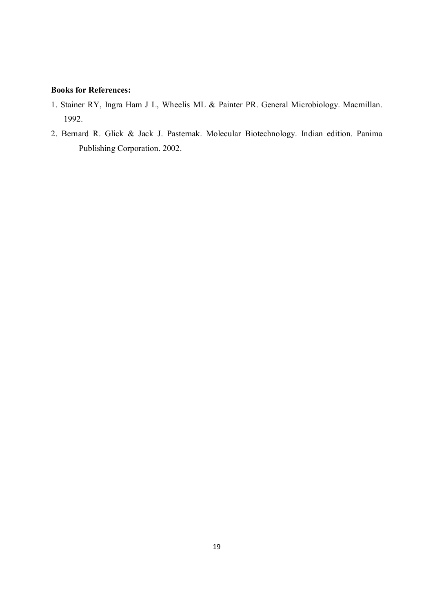- 1. Stainer RY, Ingra Ham J L, Wheelis ML & Painter PR. General Microbiology. Macmillan. 1992.
- 2. Bernard R. Glick & Jack J. Pasternak. Molecular Biotechnology. Indian edition. Panima Publishing Corporation. 2002.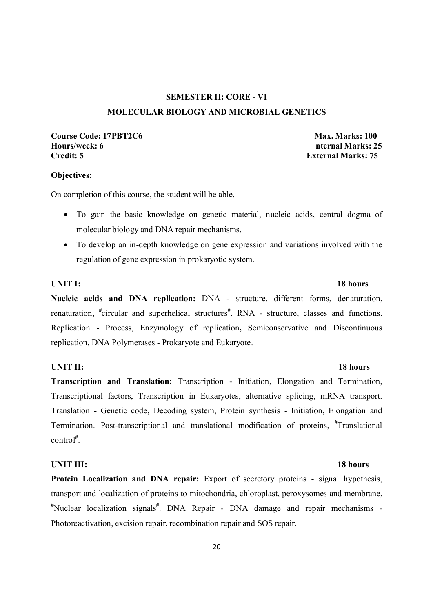## **SEMESTER II: CORE - VI MOLECULAR BIOLOGY AND MICROBIAL GENETICS**

## **Course Code: 17PBT2C6 Max. Marks: 100 Max. Marks: 100** Hours/week: 6 **nternal Marks: 25 nternal Marks: 25 nternal Marks: 25**

**External Marks: 75** 

#### **Objectives:**

On completion of this course, the student will be able,

- To gain the basic knowledge on genetic material, nucleic acids, central dogma of molecular biology and DNA repair mechanisms.
- To develop an in-depth knowledge on gene expression and variations involved with the regulation of gene expression in prokaryotic system.

### **UNIT I:** 18 hours

**Nucleic acids and DNA replication:** DNA - structure, different forms, denaturation, renaturation, <sup>#</sup>circular and superhelical structures<sup>#</sup>. RNA - structure, classes and functions. Replication - Process, Enzymology of replication**,** Semiconservative and Discontinuous replication, DNA Polymerases - Prokaryote and Eukaryote.

### **UNIT II:** 18 hours

**Transcription and Translation:** Transcription - Initiation, Elongation and Termination, Transcriptional factors, Transcription in Eukaryotes, alternative splicing, mRNA transport. Translation **-** Genetic code, Decoding system, Protein synthesis - Initiation, Elongation and Termination. Post-transcriptional and translational modification of proteins, **#** Translational control**#** .

### **UNIT III:** 18 hours

**Protein Localization and DNA repair:** Export of secretory proteins - signal hypothesis, transport and localization of proteins to mitochondria, chloroplast, peroxysomes and membrane, **#** Nuclear localization signals**#** . DNA Repair - DNA damage and repair mechanisms - Photoreactivation, excision repair, recombination repair and SOS repair.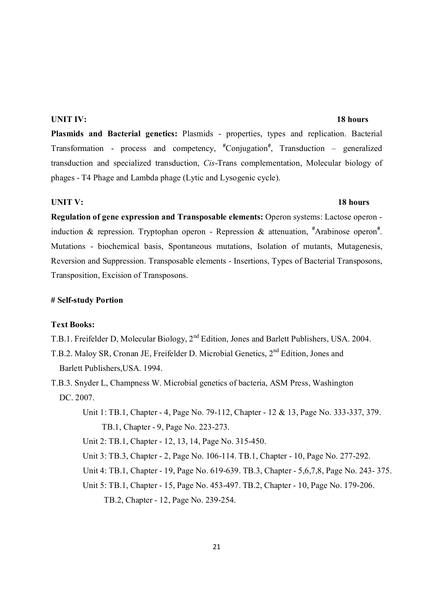#### **UNIT IV:** 18 hours

**Plasmids and Bacterial genetics:** Plasmids - properties, types and replication. Bacterial Transformation - process and competency,  $*$ Conjugation<sup>#</sup>, Transduction – generalized transduction and specialized transduction, *Cis*-Trans complementation, Molecular biology of phages - T4 Phage and Lambda phage (Lytic and Lysogenic cycle).

#### **UNIT V:** 18 hours

**Regulation of gene expression and Transposable elements:** Operon systems: Lactose operon induction & repression. Tryptophan operon - Repression & attenuation, <sup>#</sup>Arabinose operon<sup>#</sup>. Mutations - biochemical basis, Spontaneous mutations, Isolation of mutants, Mutagenesis, Reversion and Suppression. Transposable elements - Insertions, Types of Bacterial Transposons, Transposition, Excision of Transposons.

#### **# Self-study Portion**

#### **Text Books:**

T.B.1. Freifelder D, Molecular Biology, 2nd Edition, Jones and Barlett Publishers, USA. 2004.

- T.B.2. Maloy SR, Cronan JE, Freifelder D. Microbial Genetics, 2nd Edition, Jones and Barlett Publishers,USA. 1994.
- T.B.3. Snyder L, Champness W. Microbial genetics of bacteria, ASM Press, Washington DC. 2007.
	- Unit 1: TB.1, Chapter 4, Page No. 79-112, Chapter 12 & 13, Page No. 333-337, 379. TB.1, Chapter - 9, Page No. 223-273.

Unit 2: TB.1, Chapter - 12, 13, 14, Page No. 315-450.

- Unit 3: TB.3, Chapter 2, Page No. 106-114. TB.1, Chapter 10, Page No. 277-292.
- Unit 4: TB.1, Chapter 19, Page No. 619-639. TB.3, Chapter 5,6,7,8, Page No. 243- 375.
- Unit 5: TB.1, Chapter 15, Page No. 453-497. TB.2, Chapter 10, Page No. 179-206. TB.2, Chapter - 12, Page No. 239-254.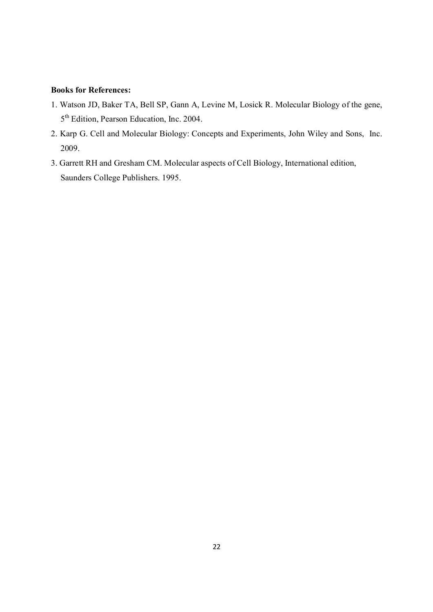- 1. Watson JD, Baker TA, Bell SP, Gann A, Levine M, Losick R. Molecular Biology of the gene, 5<sup>th</sup> Edition, Pearson Education, Inc. 2004.
- 2. Karp G. Cell and Molecular Biology: Concepts and Experiments, John Wiley and Sons, Inc. 2009.
- 3. Garrett RH and Gresham CM. Molecular aspects of Cell Biology, International edition, Saunders College Publishers. 1995.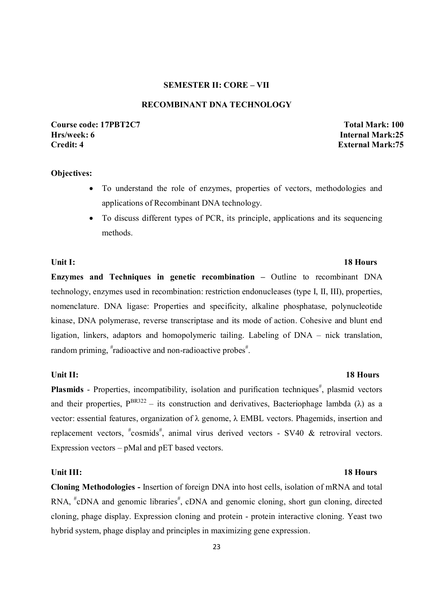### **SEMESTER II: CORE – VII**

#### **RECOMBINANT DNA TECHNOLOGY**

**Course code: 17PBT2C7 Total Mark: 100 Hrs/week: 6 Internal Mark:25 Credit: 4 External Mark:75** 

#### **Objectives:**

- To understand the role of enzymes, properties of vectors, methodologies and applications of Recombinant DNA technology.
- To discuss different types of PCR, its principle, applications and its sequencing methods.

**Enzymes and Techniques in genetic recombination –** Outline to recombinant DNA technology, enzymes used in recombination: restriction endonucleases (type I, II, III), properties, nomenclature. DNA ligase: Properties and specificity, alkaline phosphatase, polynucleotide kinase, DNA polymerase, reverse transcriptase and its mode of action. Cohesive and blunt end ligation, linkers, adaptors and homopolymeric tailing. Labeling of DNA – nick translation, random priming, #radioactive and non-radioactive probes#.

Plasmids - Properties, incompatibility, isolation and purification techniques<sup>#</sup>, plasmid vectors and their properties,  $P^{BR322}$  – its construction and derivatives, Bacteriophage lambda ( $\lambda$ ) as a vector: essential features, organization of λ genome, λ EMBL vectors. Phagemids, insertion and replacement vectors,  $*$ cosmids<sup>#</sup>, animal virus derived vectors - SV40 & retroviral vectors. Expression vectors – pMal and pET based vectors.

#### Unit III: 18 Hours

**Cloning Methodologies -** Insertion of foreign DNA into host cells, isolation of mRNA and total RNA, <sup>#</sup>cDNA and genomic libraries<sup>#</sup>, cDNA and genomic cloning, short gun cloning, directed cloning, phage display. Expression cloning and protein - protein interactive cloning. Yeast two hybrid system, phage display and principles in maximizing gene expression.

#### **Unit II: 18 Hours**

### Unit I: 18 Hours **18 Hours**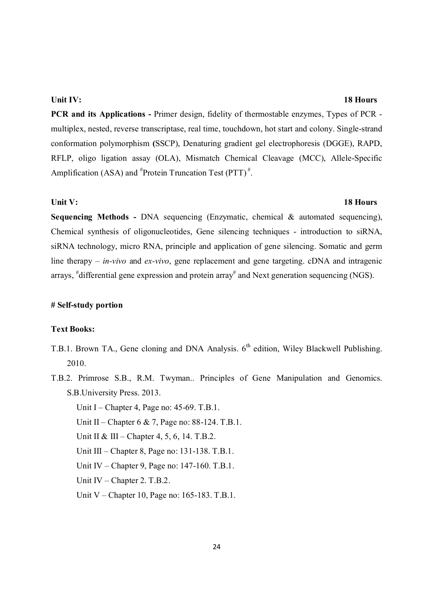#### **Unit IV:** 18 Hours

**PCR and its Applications -** Primer design, fidelity of thermostable enzymes, Types of PCR multiplex, nested, reverse transcriptase, real time, touchdown, hot start and colony. Single-strand conformation polymorphism **(**SSCP), Denaturing gradient gel electrophoresis (DGGE), RAPD, RFLP, oligo ligation assay (OLA), Mismatch Chemical Cleavage (MCC), Allele-Specific Amplification (ASA) and  $*$ Protein Truncation Test (PTT) $*$ .

#### **Unit V:** 18 Hours

**Sequencing Methods -** DNA sequencing (Enzymatic, chemical & automated sequencing), Chemical synthesis of oligonucleotides, Gene silencing techniques - introduction to siRNA, siRNA technology, micro RNA, principle and application of gene silencing. Somatic and germ line therapy – *in-vivo* and *ex-vivo*, gene replacement and gene targeting. cDNA and intragenic arrays, <sup>#</sup>differential gene expression and protein array<sup>#</sup> and Next generation sequencing (NGS).

### **# Self-study portion**

#### **Text Books:**

- T.B.1. Brown TA., Gene cloning and DNA Analysis. 6<sup>th</sup> edition, Wiley Blackwell Publishing. 2010.
- T.B.2. Primrose S.B., R.M. Twyman.. Principles of Gene Manipulation and Genomics. S.B.University Press. 2013.
	- Unit I Chapter 4, Page no: 45-69. T.B.1.
	- Unit II Chapter 6 & 7, Page no: 88-124. T.B.1.
	- Unit II & III Chapter 4, 5, 6, 14. T.B.2.
	- Unit III Chapter 8, Page no: 131-138. T.B.1.
	- Unit IV Chapter 9, Page no: 147-160. T.B.1.
	- Unit IV Chapter 2. T.B.2.
	- Unit V Chapter 10, Page no: 165-183. T.B.1.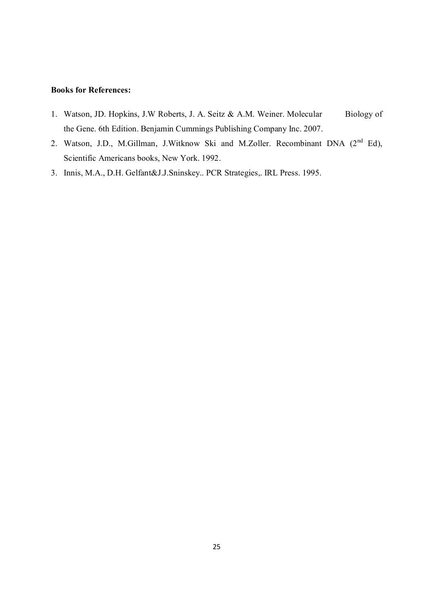- 1. Watson, JD. Hopkins, J.W Roberts, J. A. Seitz & A.M. Weiner. Molecular Biology of the Gene. 6th Edition. Benjamin Cummings Publishing Company Inc. 2007.
- 2. Watson, J.D., M.Gillman, J.Witknow Ski and M.Zoller. Recombinant DNA (2<sup>nd</sup> Ed), Scientific Americans books, New York. 1992.
- 3. Innis, M.A., D.H. Gelfant&J.J.Sninskey.. PCR Strategies,. IRL Press. 1995.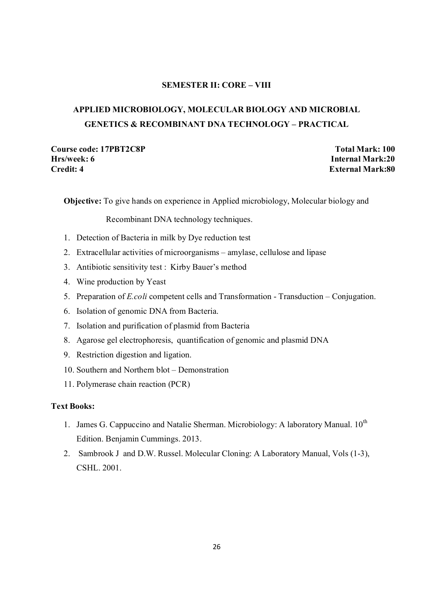### **SEMESTER II: CORE – VIII**

## **APPLIED MICROBIOLOGY, MOLECULAR BIOLOGY AND MICROBIAL GENETICS & RECOMBINANT DNA TECHNOLOGY – PRACTICAL**

**Course code: 17PBT2C8P Total Mark: 100 Hrs/week: 6 Internal Mark:20 Credit: 4 External Mark:80**

**Objective:** To give hands on experience in Applied microbiology, Molecular biology and

Recombinant DNA technology techniques.

- 1. Detection of Bacteria in milk by Dye reduction test
- 2. Extracellular activities of microorganisms amylase, cellulose and lipase
- 3. Antibiotic sensitivity test : Kirby Bauer's method
- 4. Wine production by Yeast
- 5. Preparation of *E.coli* competent cells and Transformation Transduction Conjugation.
- 6. Isolation of genomic DNA from Bacteria.
- 7. Isolation and purification of plasmid from Bacteria
- 8. Agarose gel electrophoresis, quantification of genomic and plasmid DNA
- 9. Restriction digestion and ligation.
- 10. Southern and Northern blot Demonstration
- 11. Polymerase chain reaction (PCR)

#### **Text Books:**

- 1. James G. Cappuccino and Natalie Sherman. Microbiology: A laboratory Manual. 10<sup>th</sup> Edition. Benjamin Cummings. 2013.
- 2. Sambrook J and D.W. Russel. Molecular Cloning: A Laboratory Manual, Vols (1-3), CSHL. 2001.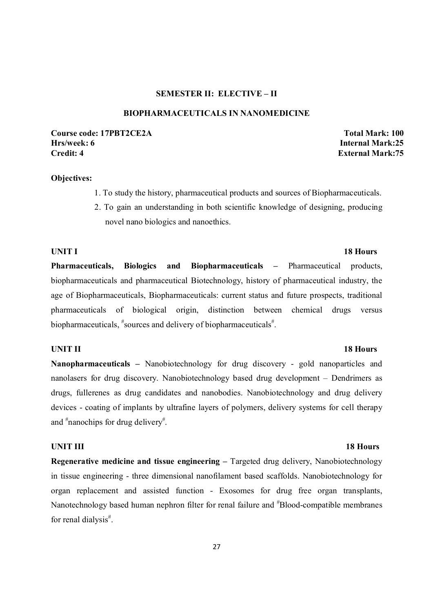### **SEMESTER II: ELECTIVE – II**

#### **BIOPHARMACEUTICALS IN NANOMEDICINE**

### **Course code: 17PBT2CE2A Total Mark: 100 Hrs/week: 6 Internal Mark:25 Credit: 4 External Mark:75**

#### **Objectives:**

- 1. To study the history, pharmaceutical products and sources of Biopharmaceuticals.
- 2. To gain an understanding in both scientific knowledge of designing, producing novel nano biologics and nanoethics.

## **UNIT I** 18 Hours **Pharmaceuticals, Biologics and Biopharmaceuticals –** Pharmaceutical products, biopharmaceuticals and pharmaceutical Biotechnology, history of pharmaceutical industry, the age of Biopharmaceuticals, Biopharmaceuticals: current status and future prospects, traditional pharmaceuticals of biological origin, distinction between chemical drugs versus biopharmaceuticals, "sources and delivery of biopharmaceuticals".

#### **UNIT II** 18 Hours

**Nanopharmaceuticals –** Nanobiotechnology for drug discovery - gold nanoparticles and nanolasers for drug discovery. Nanobiotechnology based drug development – Dendrimers as drugs, fullerenes as drug candidates and nanobodies. Nanobiotechnology and drug delivery devices - coating of implants by ultrafine layers of polymers, delivery systems for cell therapy and <sup>#</sup>nanochips for drug delivery<sup>#</sup>.

**Regenerative medicine and tissue engineering – Targeted drug delivery, Nanobiotechnology** in tissue engineering - three dimensional nanofilament based scaffolds. Nanobiotechnology for organ replacement and assisted function - Exosomes for drug free organ transplants, Nanotechnology based human nephron filter for renal failure and <sup>#</sup>Blood-compatible membranes for renal dialysis<sup>#</sup>.

#### 27

#### **UNIT III** 18 Hours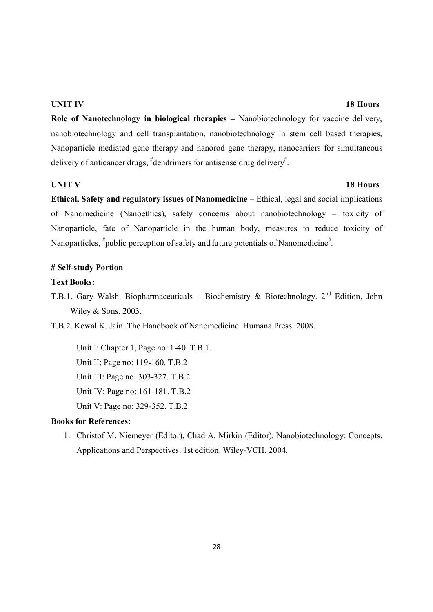#### **UNIT IV** 18 Hours

**Role of Nanotechnology in biological therapies –** Nanobiotechnology for vaccine delivery, nanobiotechnology and cell transplantation, nanobiotechnology in stem cell based therapies, Nanoparticle mediated gene therapy and nanorod gene therapy, nanocarriers for simultaneous delivery of anticancer drugs, <sup>#</sup>dendrimers for antisense drug delivery<sup>#</sup>.

#### **UNIT V** 18 Hours

**Ethical, Safety and regulatory issues of Nanomedicine –** Ethical, legal and social implications of Nanomedicine (Nanoethics), safety concerns about nanobiotechnology – toxicity of Nanoparticle, fate of Nanoparticle in the human body, measures to reduce toxicity of Nanoparticles, <sup>#</sup>public perception of safety and future potentials of Nanomedicine<sup>#</sup>.

#### **# Self-study Portion**

### **Text Books:**

- T.B.1. Gary Walsh. Biopharmaceuticals Biochemistry & Biotechnology. 2nd Edition, John Wiley & Sons. 2003.
- T.B.2. Kewal K. Jain. The Handbook of Nanomedicine. Humana Press. 2008.

Unit I: Chapter 1, Page no: 1-40. T.B.1. Unit II: Page no: 119-160. T.B.2 Unit III: Page no: 303-327. T.B.2 Unit IV: Page no: 161-181. T.B.2 Unit V: Page no: 329-352. T.B.2

### **Books for References:**

1. Christof M. Niemeyer (Editor), Chad A. Mirkin (Editor). Nanobiotechnology: Concepts, Applications and Perspectives. 1st edition. Wiley-VCH. 2004.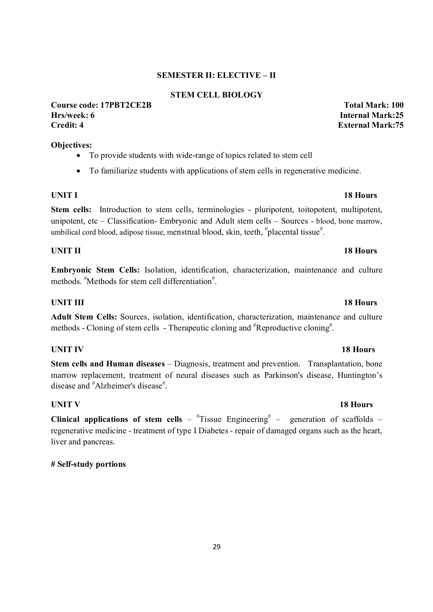### **SEMESTER II: ELECTIVE – II**

### **STEM CELL BIOLOGY**

### **Course code: 17PBT2CE2B Total Mark: 100 Hrs/week: 6 Internal Mark:25 Credit: 4 External Mark:75**

### **Objectives:**

- To provide students with wide-range of topics related to stem cell
- To familiarize students with applications of stem cells in regenerative medicine.

**Stem cells:** Introduction to stem cells, terminologies - pluripotent, toitopotent, multipotent, unipotent, etc – Classification- Embryonic and Adult stem cells – Sources - blood, bone marrow, umbilical cord blood, adipose tissue, menstrual blood, skin, teeth,  $*$ placental tissue $*$ .

### **UNIT II** 18 Hours

**Embryonic Stem Cells:** Isolation, identification, characterization, maintenance and culture methods. <sup>#</sup>Methods for stem cell differentiation<sup>#</sup>.

### **UNIT III** 18 Hours

**Adult Stem Cells:** Sources, isolation, identification, characterization, maintenance and culture methods - Cloning of stem cells - Therapeutic cloning and <sup>#</sup>Reproductive cloning<sup>#</sup>.

### **UNIT IV** 18 Hours

**Stem cells and Human diseases** – Diagnosis, treatment and prevention. Transplantation, bone marrow replacement, treatment of neural diseases such as Parkinson's disease, Huntington's disease and "Alzheimer's disease".

### **UNIT V** 18 Hours

**Clinical applications of stem cells** –  $\text{``Tissue Engineering''}$  – generation of scaffolds – regenerative medicine - treatment of type I Diabetes - repair of damaged organs such as the heart, liver and pancreas.

### **# Self-study portions**

## **UNIT I** 18 Hours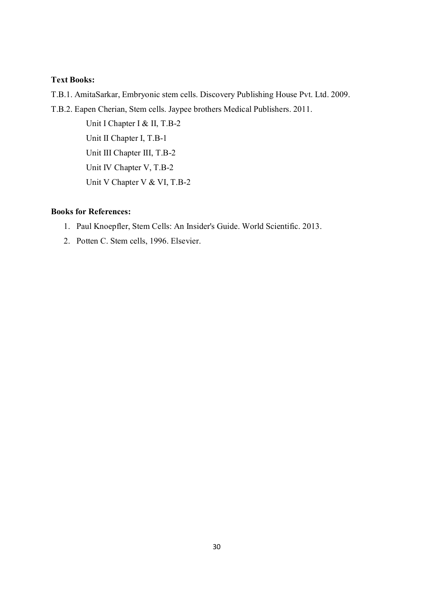### **Text Books:**

T.B.1. AmitaSarkar, Embryonic stem cells. Discovery Publishing House Pvt. Ltd. 2009.

T.B.2. Eapen Cherian, Stem cells. Jaypee brothers Medical Publishers. 2011.

Unit I Chapter I & II, T.B-2 Unit II Chapter I, T.B-1 Unit III Chapter III, T.B-2 Unit IV Chapter V, T.B-2 Unit V Chapter V & VI, T.B-2

- 1. Paul Knoepfler, Stem Cells: An Insider's Guide. World Scientific. 2013.
- 2. Potten C. Stem cells, 1996. Elsevier.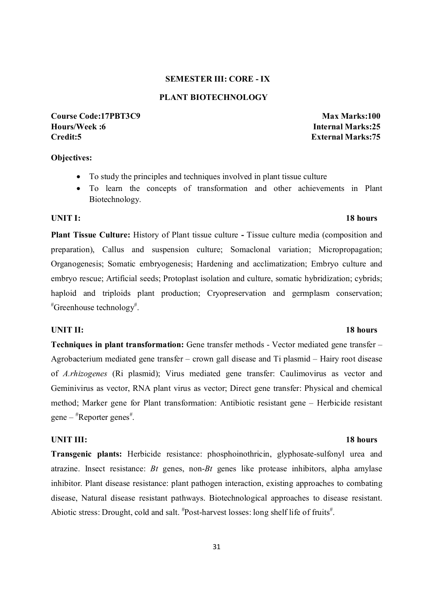### **SEMESTER III: CORE - IX**

#### **PLANT BIOTECHNOLOGY**

**Course Code:17PBT3C9 Max Marks:100 Hours/Week :6 Internal Marks:25 Credit:5 External Marks:75**

#### **Objectives:**

- To study the principles and techniques involved in plant tissue culture
- To learn the concepts of transformation and other achievements in Plant Biotechnology.

#### **UNIT I:** 18 hours

**Plant Tissue Culture:** History of Plant tissue culture **-** Tissue culture media (composition and preparation), Callus and suspension culture; Somaclonal variation; Micropropagation; Organogenesis; Somatic embryogenesis; Hardening and acclimatization; Embryo culture and embryo rescue; Artificial seeds; Protoplast isolation and culture, somatic hybridization; cybrids; haploid and triploids plant production; Cryopreservation and germplasm conservation; # Greenhouse technology# .

#### **UNIT II:** 18 hours

**Techniques in plant transformation:** Gene transfer methods - Vector mediated gene transfer – Agrobacterium mediated gene transfer – crown gall disease and Ti plasmid – Hairy root disease of *A.rhizogenes* (Ri plasmid); Virus mediated gene transfer: Caulimovirus as vector and Geminivirus as vector, RNA plant virus as vector; Direct gene transfer: Physical and chemical method; Marker gene for Plant transformation: Antibiotic resistant gene – Herbicide resistant  $gene - \#Reporter genes \n#$ .

#### **UNIT III:** 18 hours

**Transgenic plants:** Herbicide resistance: phosphoinothricin, glyphosate-sulfonyl urea and atrazine. Insect resistance: *Bt* genes, non-*Bt* genes like protease inhibitors, alpha amylase inhibitor. Plant disease resistance: plant pathogen interaction, existing approaches to combating disease, Natural disease resistant pathways. Biotechnological approaches to disease resistant. Abiotic stress: Drought, cold and salt.  $*$ Post-harvest losses: long shelf life of fruits $*$ .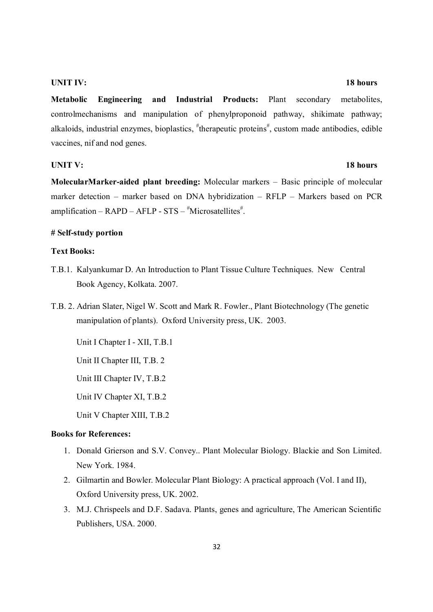#### **UNIT IV:** 18 hours

**Metabolic Engineering and Industrial Products:** Plant secondary metabolites, controlmechanisms and manipulation of phenylproponoid pathway, shikimate pathway; alkaloids, industrial enzymes, bioplastics, "therapeutic proteins", custom made antibodies, edible vaccines, nif and nod genes.

#### **UNIT V:** 18 hours

**MolecularMarker-aided plant breeding:** Molecular markers – Basic principle of molecular marker detection – marker based on DNA hybridization – RFLP – Markers based on PCR amplification –  $RAPD - AFLP - STS -$ #Microsatellites#.

#### **# Self-study portion**

#### **Text Books:**

- T.B.1. Kalyankumar D. An Introduction to Plant Tissue Culture Techniques. New Central Book Agency, Kolkata. 2007.
- T.B. 2. Adrian Slater, Nigel W. Scott and Mark R. Fowler., Plant Biotechnology (The genetic manipulation of plants). Oxford University press, UK. 2003.

Unit I Chapter I - XII, T.B.1

Unit II Chapter III, T.B. 2

Unit III Chapter IV, T.B.2

Unit IV Chapter XI, T.B.2

Unit V Chapter XIII, T.B.2

- 1. Donald Grierson and S.V. Convey.. Plant Molecular Biology. Blackie and Son Limited. New York. 1984.
- 2. Gilmartin and Bowler. Molecular Plant Biology: A practical approach (Vol. I and II), Oxford University press, UK. 2002.
- 3. M.J. Chrispeels and D.F. Sadava. Plants, genes and agriculture, The American Scientific Publishers, USA. 2000.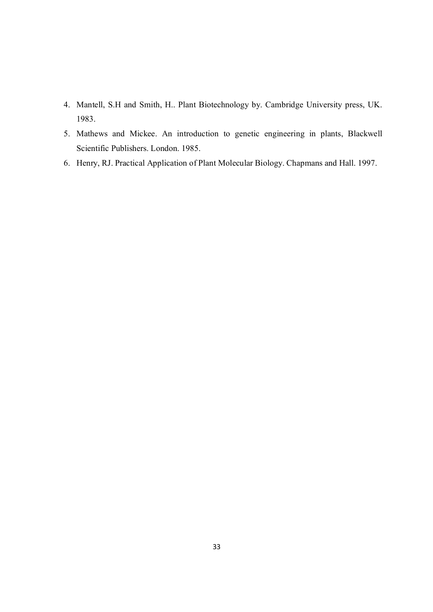- 4. Mantell, S.H and Smith, H.. Plant Biotechnology by. Cambridge University press, UK. 1983.
- 5. Mathews and Mickee. An introduction to genetic engineering in plants, Blackwell Scientific Publishers. London. 1985.
- 6. Henry, RJ. Practical Application of Plant Molecular Biology. Chapmans and Hall. 1997.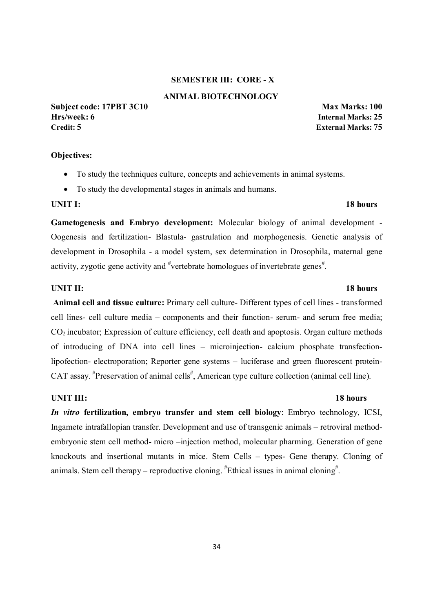#### **SEMESTER III: CORE - X**

#### **ANIMAL BIOTECHNOLOGY**

**Subject code: 17PBT 3C10 Max Marks: 100 Hrs/week: 6 Internal Marks: 25 Credit: 5 External Marks: 75**

#### **Objectives:**

- To study the techniques culture, concepts and achievements in animal systems.
- To study the developmental stages in animals and humans.

#### **UNIT I: 18 hours**

**Gametogenesis and Embryo development:** Molecular biology of animal development - Oogenesis and fertilization- Blastula- gastrulation and morphogenesis. Genetic analysis of development in Drosophila - a model system, sex determination in Drosophila, maternal gene activity, zygotic gene activity and <sup>#</sup>vertebrate homologues of invertebrate genes<sup>#</sup>.

#### **UNIT II: 18 hours**

**Animal cell and tissue culture:** Primary cell culture- Different types of cell lines - transformed cell lines- cell culture media – components and their function- serum- and serum free media;  $CO<sub>2</sub>$  incubator; Expression of culture efficiency, cell death and apoptosis. Organ culture methods of introducing of DNA into cell lines – microinjection- calcium phosphate transfectionlipofection- electroporation; Reporter gene systems – luciferase and green fluorescent protein-CAT assay. <sup>#</sup>Preservation of animal cells<sup>#</sup>, American type culture collection (animal cell line).

#### **UNIT III: 18 hours**

*In vitro* **fertilization, embryo transfer and stem cell biology**: Embryo technology, ICSI, Ingamete intrafallopian transfer. Development and use of transgenic animals – retroviral methodembryonic stem cell method- micro –injection method, molecular pharming. Generation of gene knockouts and insertional mutants in mice. Stem Cells – types- Gene therapy. Cloning of animals. Stem cell therapy – reproductive cloning.  $*$ Ethical issues in animal cloning $*$ .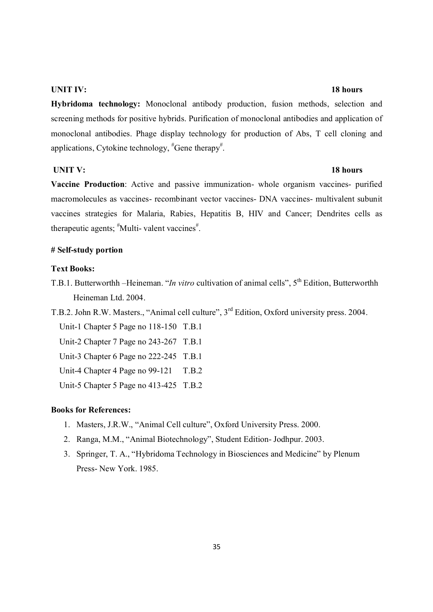#### **UNIT IV: 18 hours**

**Hybridoma technology:** Monoclonal antibody production, fusion methods, selection and screening methods for positive hybrids. Purification of monoclonal antibodies and application of monoclonal antibodies. Phage display technology for production of Abs, T cell cloning and applications, Cytokine technology, "Gene therapy".

#### **UNIT V: 18 hours**

**Vaccine Production**: Active and passive immunization- whole organism vaccines- purified macromolecules as vaccines- recombinant vector vaccines- DNA vaccines- multivalent subunit vaccines strategies for Malaria, Rabies, Hepatitis B, HIV and Cancer; Dendrites cells as therapeutic agents; "Multi- valent vaccines".

#### **# Self-study portion**

### **Text Books:**

T.B.1. Butterworthh –Heineman. "*In vitro* cultivation of animal cells", 5<sup>th</sup> Edition, Butterworthh Heineman Ltd. 2004.

T.B.2. John R.W. Masters., "Animal cell culture", 3rd Edition, Oxford university press. 2004.

Unit-1 Chapter 5 Page no 118-150 T.B.1

Unit-2 Chapter 7 Page no 243-267 T.B.1

Unit-3 Chapter 6 Page no 222-245 T.B.1

Unit-4 Chapter 4 Page no 99-121 T.B.2

Unit-5 Chapter 5 Page no 413-425 T.B.2

- 1. Masters, J.R.W., "Animal Cell culture", Oxford University Press. 2000.
- 2. Ranga, M.M., "Animal Biotechnology", Student Edition- Jodhpur. 2003.
- 3. Springer, T. A., "Hybridoma Technology in Biosciences and Medicine" by Plenum Press- New York. 1985.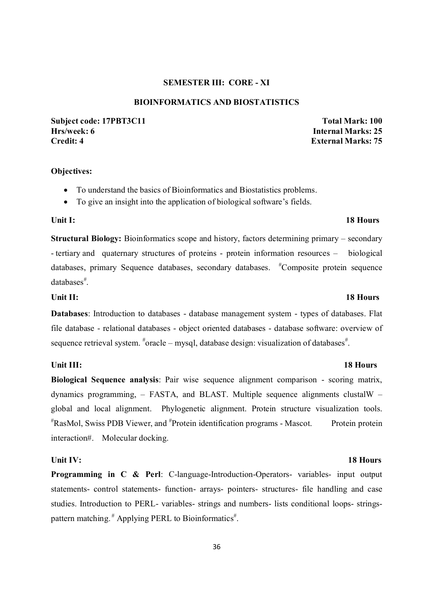#### **SEMESTER III: CORE - XI**

### **BIOINFORMATICS AND BIOSTATISTICS**

**Subject code: 17PBT3C11 Total Mark: 100 Hrs/week: 6 Internal Marks: 25 Credit: 4 External Marks: 75**

#### **Objectives:**

- To understand the basics of Bioinformatics and Biostatistics problems.
- To give an insight into the application of biological software's fields.

#### Unit I: 18 Hours **18 Hours**

**Structural Biology:** Bioinformatics scope and history, factors determining primary – secondary - tertiary and quaternary structures of proteins - protein information resources – biological databases, primary Sequence databases, secondary databases. <sup>#</sup>Composite protein sequence databases<sup>#</sup>.

**Databases**: Introduction to databases - database management system - types of databases. Flat file database - relational databases - object oriented databases - database software: overview of sequence retrieval system.  $*$ oracle – mysql, database design: visualization of databases<sup>#</sup>.

#### Unit III: 18 Hours

**Biological Sequence analysis**: Pair wise sequence alignment comparison - scoring matrix, dynamics programming, – FASTA, and BLAST. Multiple sequence alignments clustalW – global and local alignment. Phylogenetic alignment. Protein structure visualization tools. # RasMol, Swiss PDB Viewer, and # Protein identification programs - Mascot. Protein protein interaction#. Molecular docking.

**Programming in C & Perl**: C-language-Introduction-Operators- variables- input output statements- control statements- function- arrays- pointers- structures- file handling and case studies. Introduction to PERL- variables- strings and numbers- lists conditional loops- stringspattern matching.<sup>#</sup> Applying PERL to Bioinformatics<sup>#</sup>.

#### Unit II: 18 Hours **18 Hours**

#### **Unit IV:** 18 Hours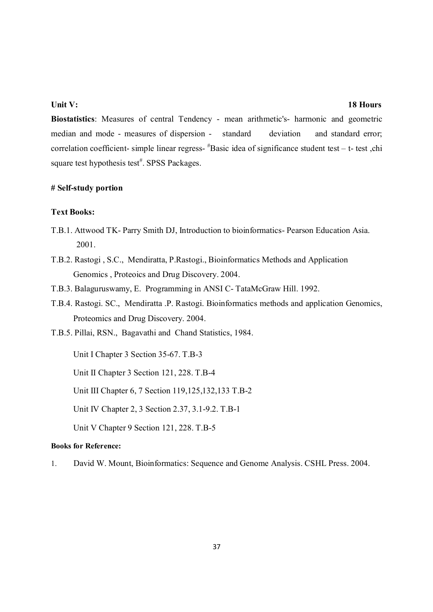#### **Unit V:** 18 Hours

**Biostatistics**: Measures of central Tendency - mean arithmetic's- harmonic and geometric median and mode - measures of dispersion - standard deviation and standard error; correlation coefficient- simple linear regress- # Basic idea of significance student test – t- test ,chi square test hypothesis test<sup>#</sup>. SPSS Packages.

#### **# Self-study portion**

### **Text Books:**

- T.B.1. Attwood TK- Parry Smith DJ, Introduction to bioinformatics- Pearson Education Asia. 2001.
- T.B.2. Rastogi , S.C., Mendiratta, P.Rastogi., Bioinformatics Methods and Application Genomics , Proteoics and Drug Discovery. 2004.
- T.B.3. Balaguruswamy, E. Programming in ANSI C- TataMcGraw Hill. 1992.
- T.B.4. Rastogi. SC., Mendiratta .P. Rastogi. Bioinformatics methods and application Genomics, Proteomics and Drug Discovery. 2004.
- T.B.5. Pillai, RSN., Bagavathi and Chand Statistics, 1984.

Unit I Chapter 3 Section 35-67. T.B-3

Unit II Chapter 3 Section 121, 228. T.B-4

Unit III Chapter 6, 7 Section 119,125,132,133 T.B-2

Unit IV Chapter 2, 3 Section 2.37, 3.1-9.2. T.B-1

Unit V Chapter 9 Section 121, 228. T.B-5

### **Books for Reference:**

1. David W. Mount, Bioinformatics: Sequence and Genome Analysis. CSHL Press. 2004.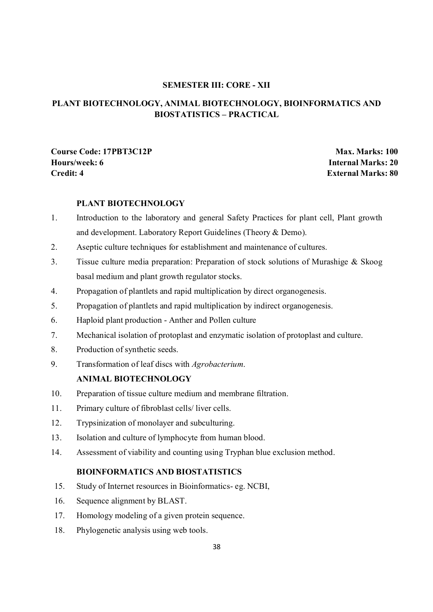### **SEMESTER III: CORE - XII**

### **PLANT BIOTECHNOLOGY, ANIMAL BIOTECHNOLOGY, BIOINFORMATICS AND BIOSTATISTICS – PRACTICAL**

**Course Code: 17PBT3C12P Max. Marks: 100 Hours/week: 6 Internal Marks: 20 Credit: 4 External Marks: 80**

### **PLANT BIOTECHNOLOGY**

- 1. Introduction to the laboratory and general Safety Practices for plant cell, Plant growth and development. Laboratory Report Guidelines (Theory & Demo).
- 2. Aseptic culture techniques for establishment and maintenance of cultures.
- 3. Tissue culture media preparation: Preparation of stock solutions of Murashige & Skoog basal medium and plant growth regulator stocks.
- 4. Propagation of plantlets and rapid multiplication by direct organogenesis.
- 5. Propagation of plantlets and rapid multiplication by indirect organogenesis.
- 6. Haploid plant production Anther and Pollen culture
- 7. Mechanical isolation of protoplast and enzymatic isolation of protoplast and culture.
- 8. Production of synthetic seeds.
- 9. Transformation of leaf discs with *Agrobacterium*.

### **ANIMAL BIOTECHNOLOGY**

- 10. Preparation of tissue culture medium and membrane filtration.
- 11. Primary culture of fibroblast cells/ liver cells.
- 12. Trypsinization of monolayer and subculturing.
- 13. Isolation and culture of lymphocyte from human blood.
- 14. Assessment of viability and counting using Tryphan blue exclusion method.

### **BIOINFORMATICS AND BIOSTATISTICS**

- 15. Study of Internet resources in Bioinformatics- eg. NCBI,
- 16. Sequence alignment by BLAST.
- 17. Homology modeling of a given protein sequence.
- 18. Phylogenetic analysis using web tools.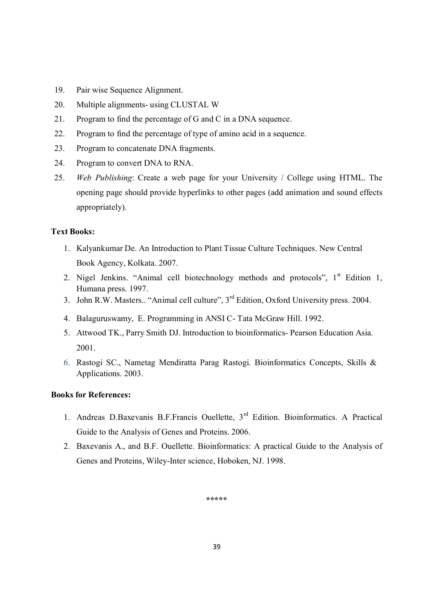- 19. Pair wise Sequence Alignment.
- 20. Multiple alignments- using CLUSTAL W
- 21. Program to find the percentage of G and C in a DNA sequence.
- 22. Program to find the percentage of type of amino acid in a sequence.
- 23. Program to concatenate DNA fragments.
- 24. Program to convert DNA to RNA.
- 25. *Web Publishing*: Create a web page for your University / College using HTML. The opening page should provide hyperlinks to other pages (add animation and sound effects appropriately).

#### **Text Books:**

- 1. Kalyankumar De. An Introduction to Plant Tissue Culture Techniques. New Central Book Agency, Kolkata. 2007.
- 2. Nigel Jenkins. "Animal cell biotechnology methods and protocols", 1<sup>st</sup> Edition 1, Humana press. 1997.
- 3. John R.W. Masters.. "Animal cell culture", 3rd Edition, Oxford University press. 2004.
- 4. Balaguruswamy, E. Programming in ANSI C- Tata McGraw Hill. 1992.
- 5. Attwood TK., Parry Smith DJ. Introduction to bioinformatics- Pearson Education Asia. 2001.
- 6. Rastogi SC., Nametag Mendiratta Parag Rastogi. Bioinformatics Concepts, Skills & Applications. 2003.

### **Books for References:**

- 1. Andreas D.Baxevanis B.F.Francis Ouellette, 3rd Edition. Bioinformatics. A Practical Guide to the Analysis of Genes and Proteins. 2006.
- 2. Baxevanis A., and B.F. Ouellette. Bioinformatics: A practical Guide to the Analysis of Genes and Proteins, Wiley-Inter science, Hoboken, NJ. 1998.

**\*\*\*\*\***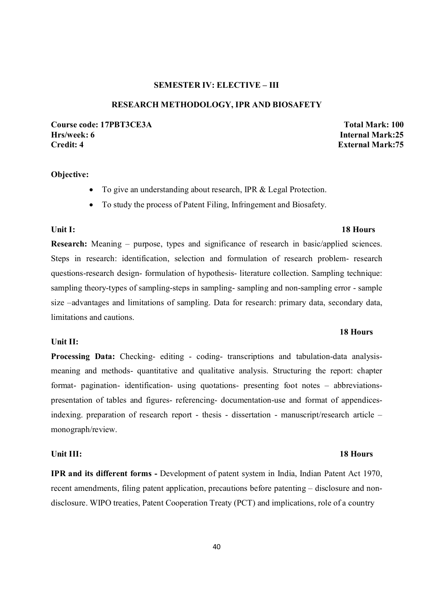### **SEMESTER IV: ELECTIVE – III**

#### **RESEARCH METHODOLOGY, IPR AND BIOSAFETY**

**Course code: 17PBT3CE3A Total Mark: 100 Hrs/week: 6 Internal Mark:25 Credit: 4 External Mark:75** 

#### **Objective:**

- To give an understanding about research, IPR & Legal Protection.
- To study the process of Patent Filing, Infringement and Biosafety.

#### **Unit I: 18 Hours**

**Research:** Meaning – purpose, types and significance of research in basic/applied sciences. Steps in research: identification, selection and formulation of research problem- research questions-research design- formulation of hypothesis- literature collection. Sampling technique: sampling theory-types of sampling-steps in sampling- sampling and non-sampling error - sample size –advantages and limitations of sampling. Data for research: primary data, secondary data, limitations and cautions.

#### **Unit II:**

**Processing Data:** Checking- editing - coding- transcriptions and tabulation-data analysismeaning and methods- quantitative and qualitative analysis. Structuring the report: chapter format- pagination- identification- using quotations- presenting foot notes – abbreviationspresentation of tables and figures- referencing- documentation-use and format of appendicesindexing. preparation of research report - thesis - dissertation - manuscript/research article – monograph/review.

#### **Unit III: 18 Hours**

**IPR and its different forms -** Development of patent system in India, Indian Patent Act 1970, recent amendments, filing patent application, precautions before patenting – disclosure and nondisclosure. WIPO treaties, Patent Cooperation Treaty (PCT) and implications, role of a country

#### 40

#### **18 Hours**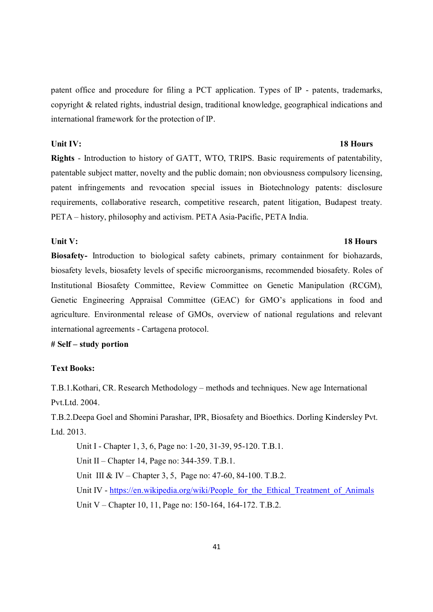patent office and procedure for filing a PCT application. Types of IP - patents, trademarks, copyright & related rights, industrial design, traditional knowledge, geographical indications and international framework for the protection of IP.

#### **Unit IV:** 18 Hours

**Rights** - Introduction to history of GATT, WTO, TRIPS. Basic requirements of patentability, patentable subject matter, novelty and the public domain; non obviousness compulsory licensing, patent infringements and revocation special issues in Biotechnology patents: disclosure requirements, collaborative research, competitive research, patent litigation, Budapest treaty. PETA – history, philosophy and activism. PETA Asia-Pacific, PETA India.

### Unit V: 18 Hours

**Biosafety-** Introduction to biological safety cabinets, primary containment for biohazards, biosafety levels, biosafety levels of specific microorganisms, recommended biosafety. Roles of Institutional Biosafety Committee, Review Committee on Genetic Manipulation (RCGM), Genetic Engineering Appraisal Committee (GEAC) for GMO's applications in food and agriculture. Environmental release of GMOs, overview of national regulations and relevant international agreements - Cartagena protocol.

### **# Self – study portion**

### **Text Books:**

T.B.1.Kothari, CR. Research Methodology – methods and techniques. New age International Pvt.Ltd. 2004.

T.B.2.Deepa Goel and Shomini Parashar, IPR, Biosafety and Bioethics. Dorling Kindersley Pvt. Ltd. 2013.

Unit I - Chapter 1, 3, 6, Page no: 1-20, 31-39, 95-120. T.B.1.

Unit II – Chapter 14, Page no: 344-359. T.B.1.

Unit III & IV – Chapter 3, 5, Page no: 47-60, 84-100. T.B.2.

Unit IV - https://en.wikipedia.org/wiki/People\_for\_the\_Ethical\_Treatment\_of\_Animals Unit V – Chapter 10, 11, Page no: 150-164, 164-172. T.B.2.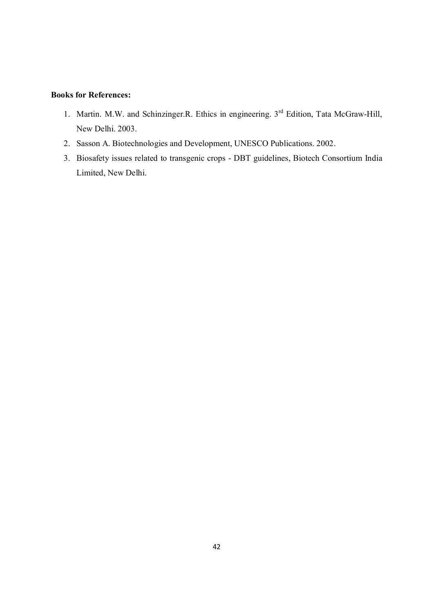- 1. Martin. M.W. and Schinzinger.R. Ethics in engineering. 3rd Edition, Tata McGraw-Hill, New Delhi. 2003.
- 2. Sasson A. Biotechnologies and Development, UNESCO Publications. 2002.
- 3. Biosafety issues related to transgenic crops DBT guidelines, Biotech Consortium India Limited, New Delhi.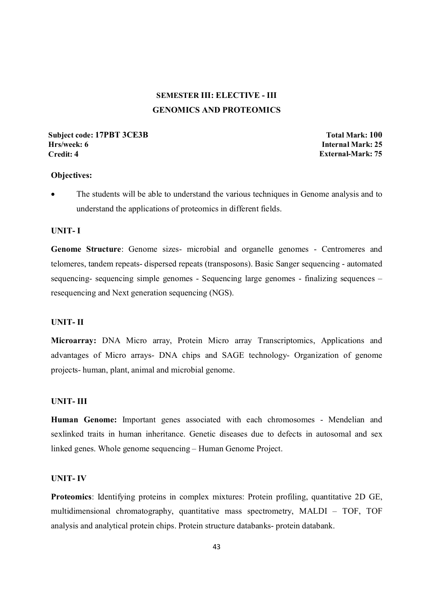## **SEMESTER III: ELECTIVE - III GENOMICS AND PROTEOMICS**

#### **Subject code: 17PBT 3CE3B** Total Mark: 100 **Hrs/week: 6 Internal Mark: 25 Credit: 4 External-Mark: 75**

#### **Objectives:**

 The students will be able to understand the various techniques in Genome analysis and to understand the applications of proteomics in different fields.

#### **UNIT- I**

**Genome Structure**: Genome sizes- microbial and organelle genomes - Centromeres and telomeres, tandem repeats- dispersed repeats (transposons). Basic Sanger sequencing - automated sequencing- sequencing simple genomes - Sequencing large genomes - finalizing sequences – resequencing and Next generation sequencing (NGS).

### **UNIT- II**

**Microarray:** DNA Micro array, Protein Micro array Transcriptomics, Applications and advantages of Micro arrays- DNA chips and SAGE technology- Organization of genome projects- human, plant, animal and microbial genome.

#### **UNIT- III**

**Human Genome:** Important genes associated with each chromosomes - Mendelian and sexlinked traits in human inheritance. Genetic diseases due to defects in autosomal and sex linked genes. Whole genome sequencing – Human Genome Project.

#### **UNIT- IV**

**Proteomics**: Identifying proteins in complex mixtures: Protein profiling, quantitative 2D GE, multidimensional chromatography, quantitative mass spectrometry, MALDI – TOF, TOF analysis and analytical protein chips. Protein structure databanks- protein databank.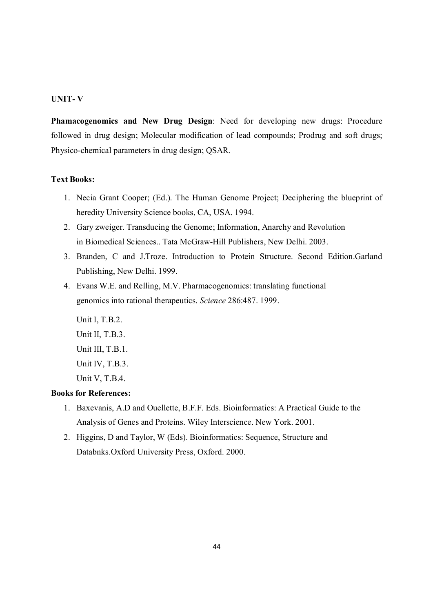### **UNIT- V**

**Phamacogenomics and New Drug Design**: Need for developing new drugs: Procedure followed in drug design; Molecular modification of lead compounds; Prodrug and soft drugs; Physico-chemical parameters in drug design; QSAR.

### **Text Books:**

- 1. Necia Grant Cooper; (Ed.). The Human Genome Project; Deciphering the blueprint of heredity University Science books, CA, USA. 1994.
- 2. Gary zweiger. Transducing the Genome; Information, Anarchy and Revolution in Biomedical Sciences.. Tata McGraw-Hill Publishers, New Delhi. 2003.
- 3. Branden, C and J.Troze. Introduction to Protein Structure. Second Edition.Garland Publishing, New Delhi. 1999.
- 4. Evans W.E. and Relling, M.V. Pharmacogenomics: translating functional genomics into rational therapeutics. *Science* 286:487. 1999.

Unit I, T.B.2. Unit II, T.B.3. Unit III, T.B.1. Unit IV, T.B.3. Unit V, T.B.4.

- 1. Baxevanis, A.D and Ouellette, B.F.F. Eds. Bioinformatics: A Practical Guide to the Analysis of Genes and Proteins. Wiley Interscience. New York. 2001.
- 2. Higgins, D and Taylor, W (Eds). Bioinformatics: Sequence, Structure and Databnks.Oxford University Press, Oxford. 2000.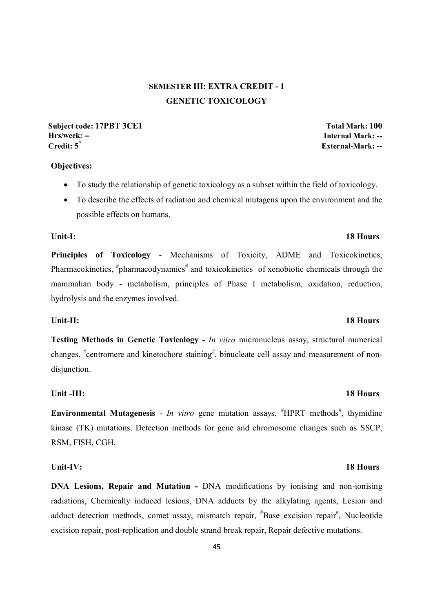## **SEMESTER III: EXTRA CREDIT - 1 GENETIC TOXICOLOGY**

**Subject code: 17PBT 3CE1 Total Mark: 100 Hrs/week: -- Internal Mark: -- Credit: 5\* External-Mark: --**

### **Objectives:**

- To study the relationship of genetic toxicology as a subset within the field of toxicology.
- To describe the effects of radiation and chemical mutagens upon the environment and the possible effects on humans.

**Unit-I: 18 Hours** 

**Principles of Toxicology** - Mechanisms of Toxicity, ADME and Toxicokinetics, Pharmacokinetics, "pharmacodynamics" and toxicokinetics of xenobiotic chemicals through the mammalian body - metabolism, principles of Phase I metabolism, oxidation, reduction, hydrolysis and the enzymes involved.

#### Unit-II: 18 Hours

**Testing Methods in Genetic Toxicology -** *In vitro* micronucleus assay, structural numerical changes, <sup>#</sup>centromere and kinetochore staining<sup>#</sup>, binucleate cell assay and measurement of nondisjunction.

#### Unit -III: 18 Hours

**Environmental Mutagenesis** - *In vitro* gene mutation assays,  $*$ HPRT methods<sup>#</sup>, thymidine kinase (TK) mutations. Detection methods for gene and chromosome changes such as SSCP, RSM, FISH, CGH.

#### **Unit-IV: 18 Hours**

**DNA Lesions, Repair and Mutation -** DNA modifications by ionising and non-ionising radiations, Chemically induced lesions, DNA adducts by the alkylating agents, Lesion and adduct detection methods, comet assay, mismatch repair, <sup>#</sup>Base excision repair<sup>#</sup>, Nucleotide excision repair, post-replication and double strand break repair, Repair defective mutations.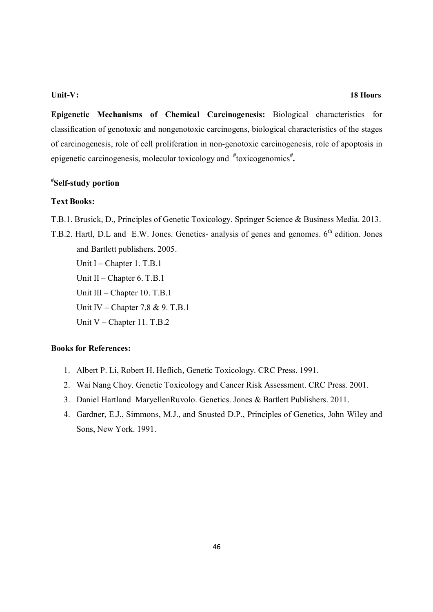**Epigenetic Mechanisms of Chemical Carcinogenesis:** Biological characteristics for classification of genotoxic and nongenotoxic carcinogens, biological characteristics of the stages of carcinogenesis, role of cell proliferation in non-genotoxic carcinogenesis, role of apoptosis in epigenetic carcinogenesis, molecular toxicology and  $*$ toxicogenomics<sup>#</sup>.

### **# Self-study portion**

#### **Text Books:**

- T.B.1. Brusick, D., Principles of Genetic Toxicology. Springer Science & Business Media. 2013.
- T.B.2. Hartl, D.L and E.W. Jones. Genetics- analysis of genes and genomes. 6<sup>th</sup> edition. Jones and Bartlett publishers. 2005.

Unit I – Chapter 1. T.B.1 Unit II – Chapter 6. T.B.1 Unit III – Chapter 10. T.B.1 Unit IV – Chapter 7,8 & 9. T.B.1 Unit V – Chapter 11. T.B.2

- 1. Albert P. Li, Robert H. Heflich, Genetic Toxicology. CRC Press. 1991.
- 2. Wai Nang Choy. Genetic Toxicology and Cancer Risk Assessment. CRC Press. 2001.
- 3. Daniel Hartland MaryellenRuvolo. Genetics. Jones & Bartlett Publishers. 2011.
- 4. Gardner, E.J., Simmons, M.J., and Snusted D.P., Principles of Genetics, John Wiley and Sons, New York. 1991.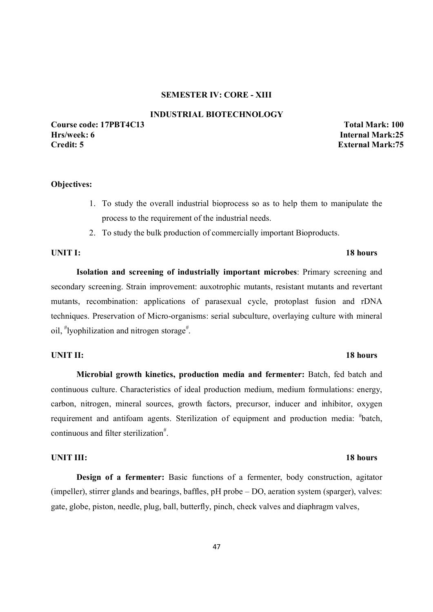#### **SEMESTER IV: CORE - XIII**

#### **INDUSTRIAL BIOTECHNOLOGY**

#### **Course code: 17PBT4C13 Total Mark: 100 Hrs/week: 6 Internal Mark:25 Credit: 5 External Mark:75**

#### **Objectives:**

- 1. To study the overall industrial bioprocess so as to help them to manipulate the process to the requirement of the industrial needs.
- 2. To study the bulk production of commercially important Bioproducts.

#### **UNIT I:** 18 hours

**Isolation and screening of industrially important microbes**: Primary screening and secondary screening. Strain improvement: auxotrophic mutants, resistant mutants and revertant mutants, recombination: applications of parasexual cycle, protoplast fusion and rDNA techniques. Preservation of Micro-organisms: serial subculture, overlaying culture with mineral oil, "lyophilization and nitrogen storage".

#### **UNIT II:** 18 hours

## **Microbial growth kinetics, production media and fermenter:** Batch, fed batch and continuous culture. Characteristics of ideal production medium, medium formulations: energy, carbon, nitrogen, mineral sources, growth factors, precursor, inducer and inhibitor, oxygen requirement and antifoam agents. Sterilization of equipment and production media: "batch, continuous and filter sterilization<sup>#</sup>.

#### **UNIT III:** 18 hours

**Design of a fermenter:** Basic functions of a fermenter, body construction, agitator (impeller), stirrer glands and bearings, baffles, pH probe – DO, aeration system (sparger), valves: gate, globe, piston, needle, plug, ball, butterfly, pinch, check valves and diaphragm valves,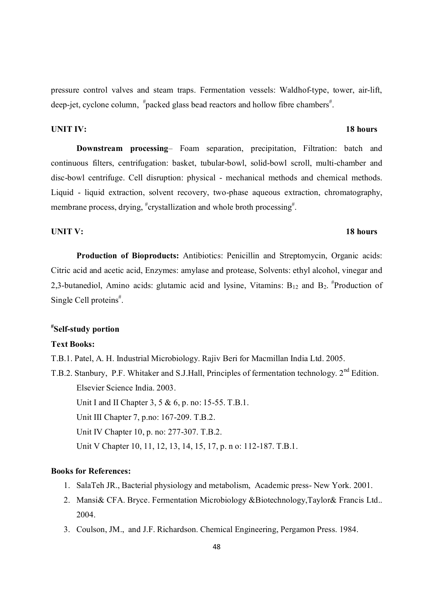pressure control valves and steam traps. Fermentation vessels: Waldhof-type, tower, air-lift, deep-jet, cyclone column, #packed glass bead reactors and hollow fibre chambers#.

#### **UNIT IV:** 18 hours

**Downstream processing**– Foam separation, precipitation, Filtration: batch and continuous filters, centrifugation: basket, tubular-bowl, solid-bowl scroll, multi-chamber and disc-bowl centrifuge. Cell disruption: physical - mechanical methods and chemical methods. Liquid - liquid extraction, solvent recovery, two-phase aqueous extraction, chromatography, membrane process, drying, "crystallization and whole broth processing".

#### **UNIT V:** 18 hours

## **Production of Bioproducts:** Antibiotics: Penicillin and Streptomycin, Organic acids: Citric acid and acetic acid, Enzymes: amylase and protease, Solvents: ethyl alcohol, vinegar and 2,3-butanediol, Amino acids: glutamic acid and lysine, Vitamins:  $B_{12}$  and  $B_2$ . <sup>#</sup>Production of Single Cell proteins<sup>#</sup>.

### **# Self-study portion**

#### **Text Books:**

- T.B.1. Patel, A. H. Industrial Microbiology. Rajiv Beri for Macmillan India Ltd. 2005.
- T.B.2. Stanbury, P.F. Whitaker and S.J.Hall, Principles of fermentation technology. 2<sup>nd</sup> Edition. Elsevier Science India. 2003. Unit I and II Chapter 3, 5 & 6, p. no: 15-55. T.B.1. Unit III Chapter 7, p.no: 167-209. T.B.2. Unit IV Chapter 10, p. no: 277-307. T.B.2. Unit V Chapter 10, 11, 12, 13, 14, 15, 17, p. n o: 112-187. T.B.1.

- 1. SalaTeh JR., Bacterial physiology and metabolism, Academic press- New York. 2001.
- 2. Mansi& CFA. Bryce. Fermentation Microbiology &Biotechnology,Taylor& Francis Ltd.. 2004.
- 3. Coulson, JM., and J.F. Richardson. Chemical Engineering, Pergamon Press. 1984.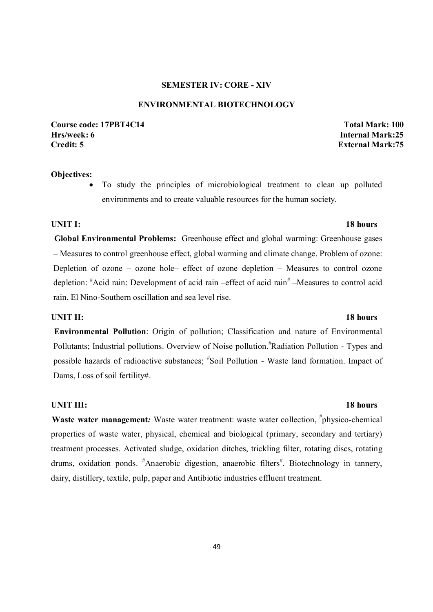### **SEMESTER IV: CORE - XIV**

#### **ENVIRONMENTAL BIOTECHNOLOGY**

**Course code: 17PBT4C14 Total Mark: 100 Hrs/week: 6 Internal Mark:25 Credit: 5 External Mark:75** 

#### **Objectives:**

 To study the principles of microbiological treatment to clean up polluted environments and to create valuable resources for the human society.

#### **UNIT I:** 18 hours

**Global Environmental Problems:** Greenhouse effect and global warming: Greenhouse gases – Measures to control greenhouse effect, global warming and climate change. Problem of ozone: Depletion of ozone – ozone hole– effect of ozone depletion – Measures to control ozone depletion: "Acid rain: Development of acid rain -effect of acid rain" -Measures to control acid rain, El Nino-Southern oscillation and sea level rise.

#### **UNIT II:** 18 hours

**Environmental Pollution**: Origin of pollution; Classification and nature of Environmental Pollutants; Industrial pollutions. Overview of Noise pollution.<sup>#</sup>Radiation Pollution - Types and possible hazards of radioactive substances; # Soil Pollution - Waste land formation. Impact of Dams, Loss of soil fertility#.

#### **UNIT III:** 18 hours

Waste water management: Waste water treatment: waste water collection, <sup>#</sup>physico-chemical properties of waste water, physical, chemical and biological (primary, secondary and tertiary) treatment processes. Activated sludge, oxidation ditches, trickling filter, rotating discs, rotating drums, oxidation ponds. <sup>#</sup>Anaerobic digestion, anaerobic filters<sup>#</sup>. Biotechnology in tannery, dairy, distillery, textile, pulp, paper and Antibiotic industries effluent treatment.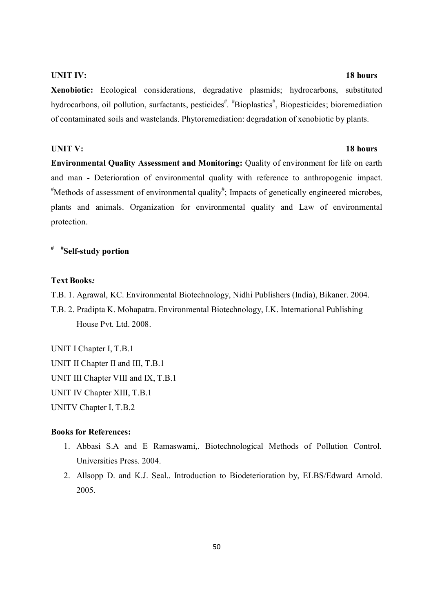#### **UNIT IV:** 18 hours

**Xenobiotic:** Ecological considerations, degradative plasmids; hydrocarbons, substituted hydrocarbons, oil pollution, surfactants, pesticides<sup># #</sup>Bioplastics<sup>#</sup>, Biopesticides; bioremediation of contaminated soils and wastelands. Phytoremediation: degradation of xenobiotic by plants.

#### **UNIT V:** 18 hours

**Environmental Quality Assessment and Monitoring:** Quality of environment for life on earth and man - Deterioration of environmental quality with reference to anthropogenic impact. # Methods of assessment of environmental quality# ; Impacts of genetically engineered microbes, plants and animals. Organization for environmental quality and Law of environmental protection.

## **# #Self-study portion**

#### **Text Books***:*

T.B. 1. Agrawal, KC. Environmental Biotechnology, Nidhi Publishers (India), Bikaner. 2004.

T.B. 2. Pradipta K. Mohapatra. Environmental Biotechnology, I.K. International Publishing House Pvt. Ltd. 2008.

UNIT I Chapter I, T.B.1 UNIT II Chapter II and III, T.B.1 UNIT III Chapter VIII and IX, T.B.1 UNIT IV Chapter XIII, T.B.1 UNITV Chapter I, T.B.2

- 1. Abbasi S.A and E Ramaswami,. Biotechnological Methods of Pollution Control. Universities Press. 2004.
- 2. Allsopp D. and K.J. Seal.. Introduction to Biodeterioration by, ELBS/Edward Arnold. 2005.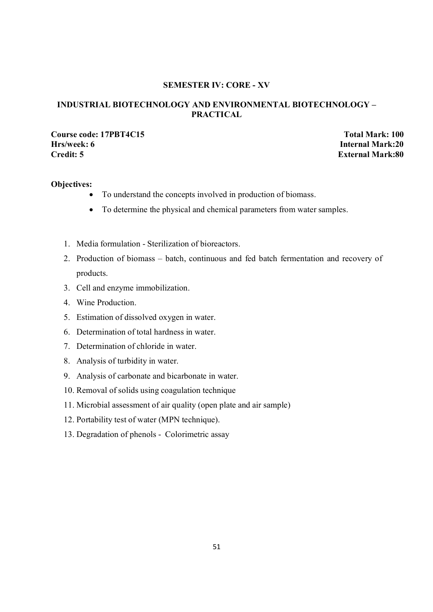### **SEMESTER IV: CORE - XV**

### **INDUSTRIAL BIOTECHNOLOGY AND ENVIRONMENTAL BIOTECHNOLOGY – PRACTICAL**

## **Course code: 17PBT4C15 Total Mark: 100**<br> **Total Mark: 100**<br> **Hrs/week: 6 Internal Mark:20 Credit: 5 External Mark:80**

**Internal Mark:20** 

### **Objectives:**

- To understand the concepts involved in production of biomass.
- To determine the physical and chemical parameters from water samples.
- 1. Media formulation Sterilization of bioreactors.
- 2. Production of biomass batch, continuous and fed batch fermentation and recovery of products.
- 3. Cell and enzyme immobilization.
- 4. Wine Production.
- 5. Estimation of dissolved oxygen in water.
- 6. Determination of total hardness in water.
- 7. Determination of chloride in water.
- 8. Analysis of turbidity in water.
- 9. Analysis of carbonate and bicarbonate in water.
- 10. Removal of solids using coagulation technique
- 11. Microbial assessment of air quality (open plate and air sample)
- 12. Portability test of water (MPN technique).
- 13. Degradation of phenols Colorimetric assay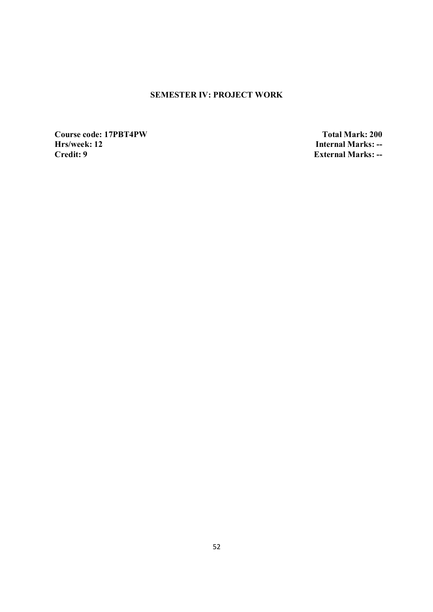## **SEMESTER IV: PROJECT WORK**

**Course code: 17PBT4PW** Total Mark: 200<br> **Hrs/week: 12** Internal Marks: --**Hrs/week: 12** Internal Marks: --<br>Credit: 9 External Marks: --

**External Marks: --**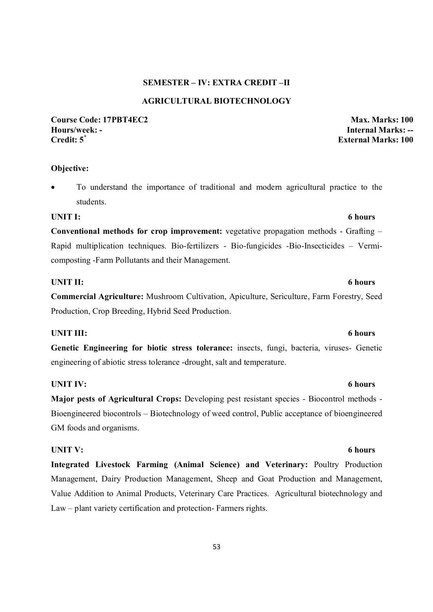### **SEMESTER – IV: EXTRA CREDIT –II**

### **AGRICULTURAL BIOTECHNOLOGY**

**Course Code: 17PBT4EC2 Max. Marks: 100 Hours/week: - Internal Marks: --**

**Objective:** 

 To understand the importance of traditional and modern agricultural practice to the students.

#### UNIT I: 6 hours

**Conventional methods for crop improvement:** vegetative propagation methods - Grafting – Rapid multiplication techniques. Bio-fertilizers - Bio-fungicides -Bio-Insecticides – Vermicomposting -Farm Pollutants and their Management.

#### **UNIT II:** 6 hours

**Commercial Agriculture:** Mushroom Cultivation, Apiculture, Sericulture, Farm Forestry, Seed Production, Crop Breeding, Hybrid Seed Production.

#### UNIT III: 6 hours

**Genetic Engineering for biotic stress tolerance:** insects, fungi, bacteria, viruses- Genetic engineering of abiotic stress tolerance -drought, salt and temperature.

#### UNIT IV: 6 hours

**Major pests of Agricultural Crops:** Developing pest resistant species - Biocontrol methods - Bioengineered biocontrols – Biotechnology of weed control, Public acceptance of bioengineered GM foods and organisms.

#### UNIT V: 6 hours

**Integrated Livestock Farming (Animal Science) and Veterinary:** Poultry Production Management, Dairy Production Management, Sheep and Goat Production and Management, Value Addition to Animal Products, Veterinary Care Practices. Agricultural biotechnology and Law – plant variety certification and protection- Farmers rights.

# **External Marks: 100**